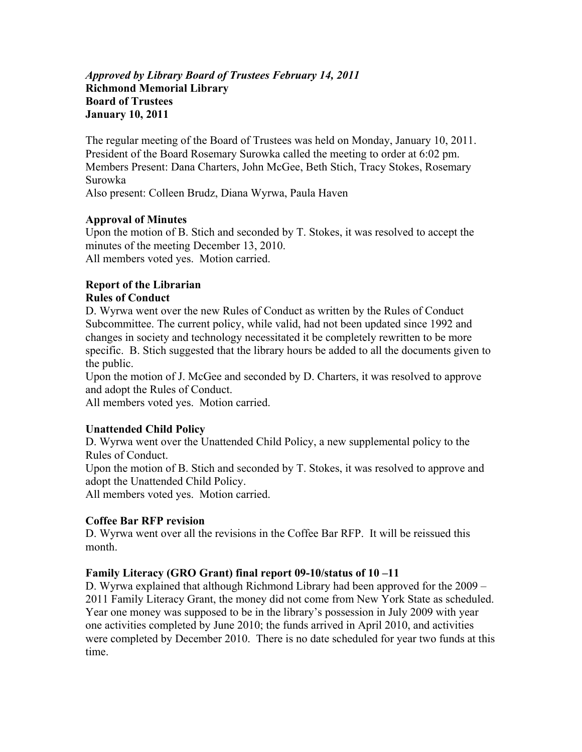## *Approved by Library Board of Trustees February 14, 2011*  **Richmond Memorial Library Board of Trustees January 10, 2011**

The regular meeting of the Board of Trustees was held on Monday, January 10, 2011. President of the Board Rosemary Surowka called the meeting to order at 6:02 pm. Members Present: Dana Charters, John McGee, Beth Stich, Tracy Stokes, Rosemary Surowka

Also present: Colleen Brudz, Diana Wyrwa, Paula Haven

# **Approval of Minutes**

Upon the motion of B. Stich and seconded by T. Stokes, it was resolved to accept the minutes of the meeting December 13, 2010. All members voted yes. Motion carried.

# **Report of the Librarian Rules of Conduct**

D. Wyrwa went over the new Rules of Conduct as written by the Rules of Conduct Subcommittee. The current policy, while valid, had not been updated since 1992 and changes in society and technology necessitated it be completely rewritten to be more specific. B. Stich suggested that the library hours be added to all the documents given to the public.

Upon the motion of J. McGee and seconded by D. Charters, it was resolved to approve and adopt the Rules of Conduct.

All members voted yes. Motion carried.

# **Unattended Child Policy**

D. Wyrwa went over the Unattended Child Policy, a new supplemental policy to the Rules of Conduct.

Upon the motion of B. Stich and seconded by T. Stokes, it was resolved to approve and adopt the Unattended Child Policy.

All members voted yes. Motion carried.

# **Coffee Bar RFP revision**

D. Wyrwa went over all the revisions in the Coffee Bar RFP. It will be reissued this month.

# **Family Literacy (GRO Grant) final report 09-10/status of 10 –11**

D. Wyrwa explained that although Richmond Library had been approved for the 2009 – 2011 Family Literacy Grant, the money did not come from New York State as scheduled. Year one money was supposed to be in the library's possession in July 2009 with year one activities completed by June 2010; the funds arrived in April 2010, and activities were completed by December 2010. There is no date scheduled for year two funds at this time.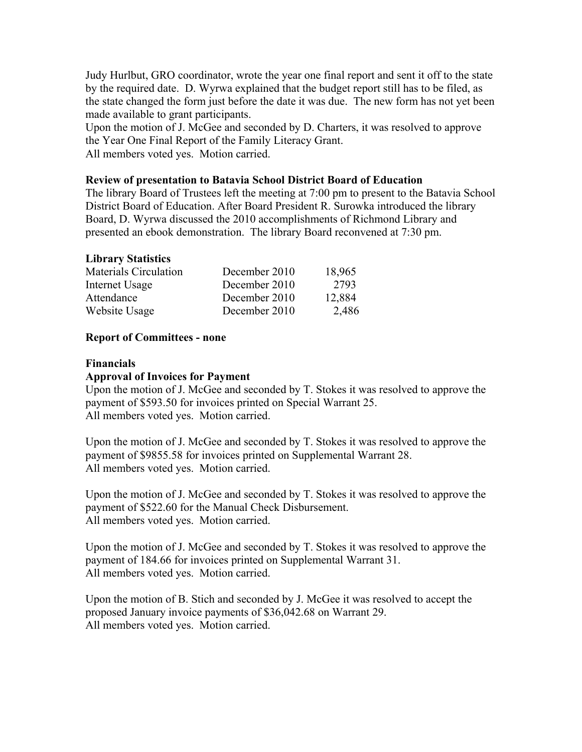Judy Hurlbut, GRO coordinator, wrote the year one final report and sent it off to the state by the required date. D. Wyrwa explained that the budget report still has to be filed, as the state changed the form just before the date it was due. The new form has not yet been made available to grant participants.

Upon the motion of J. McGee and seconded by D. Charters, it was resolved to approve the Year One Final Report of the Family Literacy Grant. All members voted yes. Motion carried.

#### **Review of presentation to Batavia School District Board of Education**

The library Board of Trustees left the meeting at 7:00 pm to present to the Batavia School District Board of Education. After Board President R. Surowka introduced the library Board, D. Wyrwa discussed the 2010 accomplishments of Richmond Library and presented an ebook demonstration. The library Board reconvened at 7:30 pm.

#### **Library Statistics**

| <b>Materials Circulation</b> | December 2010 | 18,965 |
|------------------------------|---------------|--------|
| Internet Usage               | December 2010 | 2793   |
| Attendance                   | December 2010 | 12,884 |
| Website Usage                | December 2010 | 2,486  |

#### **Report of Committees - none**

#### **Financials**

#### **Approval of Invoices for Payment**

Upon the motion of J. McGee and seconded by T. Stokes it was resolved to approve the payment of \$593.50 for invoices printed on Special Warrant 25. All members voted yes. Motion carried.

Upon the motion of J. McGee and seconded by T. Stokes it was resolved to approve the payment of \$9855.58 for invoices printed on Supplemental Warrant 28. All members voted yes. Motion carried.

Upon the motion of J. McGee and seconded by T. Stokes it was resolved to approve the payment of \$522.60 for the Manual Check Disbursement. All members voted yes. Motion carried.

Upon the motion of J. McGee and seconded by T. Stokes it was resolved to approve the payment of 184.66 for invoices printed on Supplemental Warrant 31. All members voted yes. Motion carried.

Upon the motion of B. Stich and seconded by J. McGee it was resolved to accept the proposed January invoice payments of \$36,042.68 on Warrant 29. All members voted yes. Motion carried.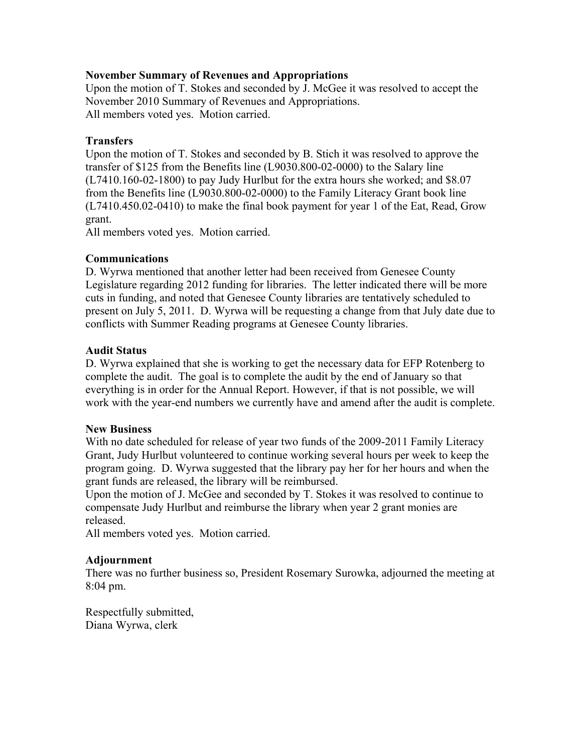## **November Summary of Revenues and Appropriations**

Upon the motion of T. Stokes and seconded by J. McGee it was resolved to accept the November 2010 Summary of Revenues and Appropriations. All members voted yes. Motion carried.

## **Transfers**

Upon the motion of T. Stokes and seconded by B. Stich it was resolved to approve the transfer of \$125 from the Benefits line (L9030.800-02-0000) to the Salary line (L7410.160-02-1800) to pay Judy Hurlbut for the extra hours she worked; and \$8.07 from the Benefits line (L9030.800-02-0000) to the Family Literacy Grant book line (L7410.450.02-0410) to make the final book payment for year 1 of the Eat, Read, Grow grant.

All members voted yes. Motion carried.

## **Communications**

D. Wyrwa mentioned that another letter had been received from Genesee County Legislature regarding 2012 funding for libraries. The letter indicated there will be more cuts in funding, and noted that Genesee County libraries are tentatively scheduled to present on July 5, 2011. D. Wyrwa will be requesting a change from that July date due to conflicts with Summer Reading programs at Genesee County libraries.

## **Audit Status**

D. Wyrwa explained that she is working to get the necessary data for EFP Rotenberg to complete the audit. The goal is to complete the audit by the end of January so that everything is in order for the Annual Report. However, if that is not possible, we will work with the year-end numbers we currently have and amend after the audit is complete.

#### **New Business**

With no date scheduled for release of year two funds of the 2009-2011 Family Literacy Grant, Judy Hurlbut volunteered to continue working several hours per week to keep the program going. D. Wyrwa suggested that the library pay her for her hours and when the grant funds are released, the library will be reimbursed.

Upon the motion of J. McGee and seconded by T. Stokes it was resolved to continue to compensate Judy Hurlbut and reimburse the library when year 2 grant monies are released.

All members voted yes. Motion carried.

#### **Adjournment**

There was no further business so, President Rosemary Surowka, adjourned the meeting at 8:04 pm.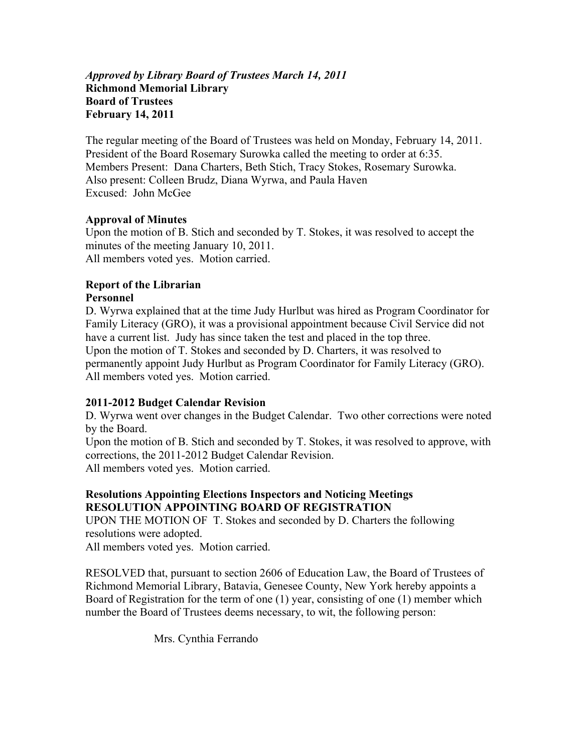## *Approved by Library Board of Trustees March 14, 2011* **Richmond Memorial Library Board of Trustees February 14, 2011**

The regular meeting of the Board of Trustees was held on Monday, February 14, 2011. President of the Board Rosemary Surowka called the meeting to order at 6:35. Members Present: Dana Charters, Beth Stich, Tracy Stokes, Rosemary Surowka. Also present: Colleen Brudz, Diana Wyrwa, and Paula Haven Excused: John McGee

# **Approval of Minutes**

Upon the motion of B. Stich and seconded by T. Stokes, it was resolved to accept the minutes of the meeting January 10, 2011. All members voted yes. Motion carried.

# **Report of the Librarian**

# **Personnel**

D. Wyrwa explained that at the time Judy Hurlbut was hired as Program Coordinator for Family Literacy (GRO), it was a provisional appointment because Civil Service did not have a current list. Judy has since taken the test and placed in the top three. Upon the motion of T. Stokes and seconded by D. Charters, it was resolved to permanently appoint Judy Hurlbut as Program Coordinator for Family Literacy (GRO). All members voted yes. Motion carried.

# **2011-2012 Budget Calendar Revision**

D. Wyrwa went over changes in the Budget Calendar. Two other corrections were noted by the Board.

Upon the motion of B. Stich and seconded by T. Stokes, it was resolved to approve, with corrections, the 2011-2012 Budget Calendar Revision. All members voted yes. Motion carried.

## **Resolutions Appointing Elections Inspectors and Noticing Meetings RESOLUTION APPOINTING BOARD OF REGISTRATION**

UPON THE MOTION OF T. Stokes and seconded by D. Charters the following resolutions were adopted.

All members voted yes. Motion carried.

RESOLVED that, pursuant to section 2606 of Education Law, the Board of Trustees of Richmond Memorial Library, Batavia, Genesee County, New York hereby appoints a Board of Registration for the term of one (1) year, consisting of one (1) member which number the Board of Trustees deems necessary, to wit, the following person:

Mrs. Cynthia Ferrando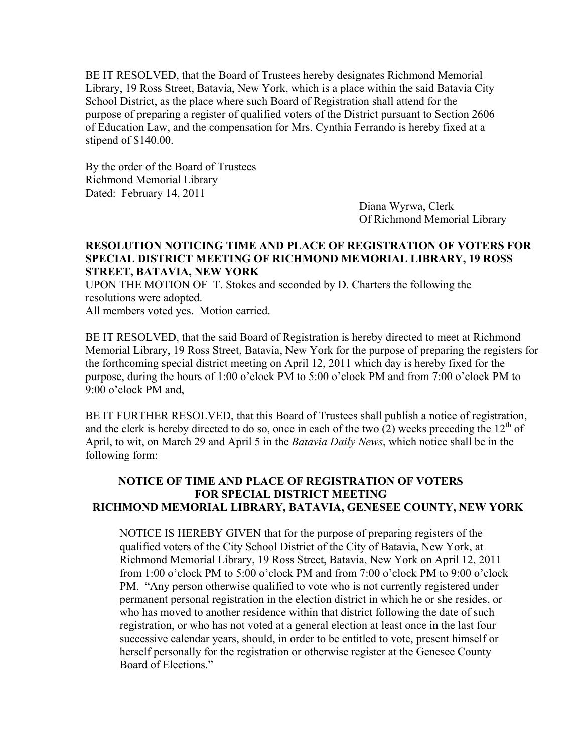BE IT RESOLVED, that the Board of Trustees hereby designates Richmond Memorial Library, 19 Ross Street, Batavia, New York, which is a place within the said Batavia City School District, as the place where such Board of Registration shall attend for the purpose of preparing a register of qualified voters of the District pursuant to Section 2606 of Education Law, and the compensation for Mrs. Cynthia Ferrando is hereby fixed at a stipend of \$140.00.

By the order of the Board of Trustees Richmond Memorial Library Dated: February 14, 2011

> Diana Wyrwa, Clerk Of Richmond Memorial Library

## **RESOLUTION NOTICING TIME AND PLACE OF REGISTRATION OF VOTERS FOR SPECIAL DISTRICT MEETING OF RICHMOND MEMORIAL LIBRARY, 19 ROSS STREET, BATAVIA, NEW YORK**

UPON THE MOTION OF T. Stokes and seconded by D. Charters the following the resolutions were adopted.

All members voted yes. Motion carried.

BE IT RESOLVED, that the said Board of Registration is hereby directed to meet at Richmond Memorial Library, 19 Ross Street, Batavia, New York for the purpose of preparing the registers for the forthcoming special district meeting on April 12, 2011 which day is hereby fixed for the purpose, during the hours of 1:00 o'clock PM to 5:00 o'clock PM and from 7:00 o'clock PM to 9:00 o'clock PM and,

BE IT FURTHER RESOLVED, that this Board of Trustees shall publish a notice of registration, and the clerk is hereby directed to do so, once in each of the two (2) weeks preceding the  $12<sup>th</sup>$  of April, to wit, on March 29 and April 5 in the *Batavia Daily News*, which notice shall be in the following form:

# **NOTICE OF TIME AND PLACE OF REGISTRATION OF VOTERS FOR SPECIAL DISTRICT MEETING RICHMOND MEMORIAL LIBRARY, BATAVIA, GENESEE COUNTY, NEW YORK**

NOTICE IS HEREBY GIVEN that for the purpose of preparing registers of the qualified voters of the City School District of the City of Batavia, New York, at Richmond Memorial Library, 19 Ross Street, Batavia, New York on April 12, 2011 from 1:00 o'clock PM to 5:00 o'clock PM and from 7:00 o'clock PM to 9:00 o'clock PM. "Any person otherwise qualified to vote who is not currently registered under permanent personal registration in the election district in which he or she resides, or who has moved to another residence within that district following the date of such registration, or who has not voted at a general election at least once in the last four successive calendar years, should, in order to be entitled to vote, present himself or herself personally for the registration or otherwise register at the Genesee County Board of Elections."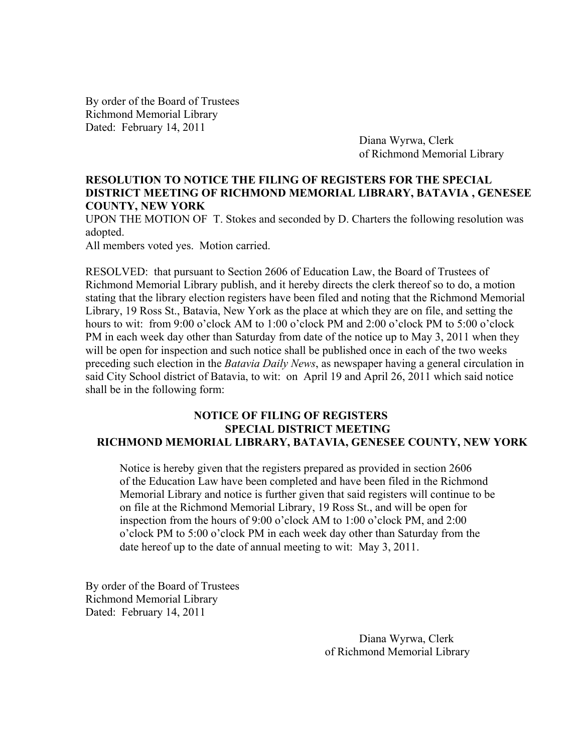By order of the Board of Trustees Richmond Memorial Library Dated: February 14, 2011

> Diana Wyrwa, Clerk of Richmond Memorial Library

## **RESOLUTION TO NOTICE THE FILING OF REGISTERS FOR THE SPECIAL DISTRICT MEETING OF RICHMOND MEMORIAL LIBRARY, BATAVIA , GENESEE COUNTY, NEW YORK**

UPON THE MOTION OF T. Stokes and seconded by D. Charters the following resolution was adopted.

All members voted yes. Motion carried.

RESOLVED: that pursuant to Section 2606 of Education Law, the Board of Trustees of Richmond Memorial Library publish, and it hereby directs the clerk thereof so to do, a motion stating that the library election registers have been filed and noting that the Richmond Memorial Library, 19 Ross St., Batavia, New York as the place at which they are on file, and setting the hours to wit: from 9:00 o'clock AM to 1:00 o'clock PM and 2:00 o'clock PM to 5:00 o'clock PM in each week day other than Saturday from date of the notice up to May 3, 2011 when they will be open for inspection and such notice shall be published once in each of the two weeks preceding such election in the *Batavia Daily News*, as newspaper having a general circulation in said City School district of Batavia, to wit: on April 19 and April 26, 2011 which said notice shall be in the following form:

#### **NOTICE OF FILING OF REGISTERS SPECIAL DISTRICT MEETING RICHMOND MEMORIAL LIBRARY, BATAVIA, GENESEE COUNTY, NEW YORK**

 Notice is hereby given that the registers prepared as provided in section 2606 of the Education Law have been completed and have been filed in the Richmond Memorial Library and notice is further given that said registers will continue to be on file at the Richmond Memorial Library, 19 Ross St., and will be open for inspection from the hours of 9:00 o'clock AM to 1:00 o'clock PM, and 2:00 o'clock PM to 5:00 o'clock PM in each week day other than Saturday from the date hereof up to the date of annual meeting to wit: May 3, 2011.

By order of the Board of Trustees Richmond Memorial Library Dated: February 14, 2011

> Diana Wyrwa, Clerk of Richmond Memorial Library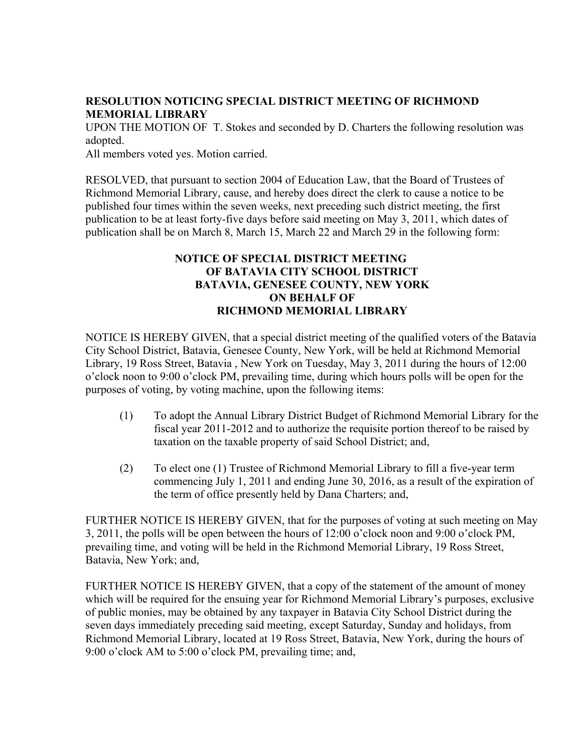## **RESOLUTION NOTICING SPECIAL DISTRICT MEETING OF RICHMOND MEMORIAL LIBRARY**

UPON THE MOTION OF T. Stokes and seconded by D. Charters the following resolution was adopted.

All members voted yes. Motion carried.

RESOLVED, that pursuant to section 2004 of Education Law, that the Board of Trustees of Richmond Memorial Library, cause, and hereby does direct the clerk to cause a notice to be published four times within the seven weeks, next preceding such district meeting, the first publication to be at least forty-five days before said meeting on May 3, 2011, which dates of publication shall be on March 8, March 15, March 22 and March 29 in the following form:

# **NOTICE OF SPECIAL DISTRICT MEETING OF BATAVIA CITY SCHOOL DISTRICT BATAVIA, GENESEE COUNTY, NEW YORK ON BEHALF OF RICHMOND MEMORIAL LIBRARY**

NOTICE IS HEREBY GIVEN, that a special district meeting of the qualified voters of the Batavia City School District, Batavia, Genesee County, New York, will be held at Richmond Memorial Library, 19 Ross Street, Batavia , New York on Tuesday, May 3, 2011 during the hours of 12:00 o'clock noon to 9:00 o'clock PM, prevailing time, during which hours polls will be open for the purposes of voting, by voting machine, upon the following items:

- (1) To adopt the Annual Library District Budget of Richmond Memorial Library for the fiscal year 2011-2012 and to authorize the requisite portion thereof to be raised by taxation on the taxable property of said School District; and,
- (2) To elect one (1) Trustee of Richmond Memorial Library to fill a five-year term commencing July 1, 2011 and ending June 30, 2016, as a result of the expiration of the term of office presently held by Dana Charters; and,

FURTHER NOTICE IS HEREBY GIVEN, that for the purposes of voting at such meeting on May 3, 2011, the polls will be open between the hours of 12:00 o'clock noon and 9:00 o'clock PM, prevailing time, and voting will be held in the Richmond Memorial Library, 19 Ross Street, Batavia, New York; and,

FURTHER NOTICE IS HEREBY GIVEN, that a copy of the statement of the amount of money which will be required for the ensuing year for Richmond Memorial Library's purposes, exclusive of public monies, may be obtained by any taxpayer in Batavia City School District during the seven days immediately preceding said meeting, except Saturday, Sunday and holidays, from Richmond Memorial Library, located at 19 Ross Street, Batavia, New York, during the hours of 9:00 o'clock AM to 5:00 o'clock PM, prevailing time; and,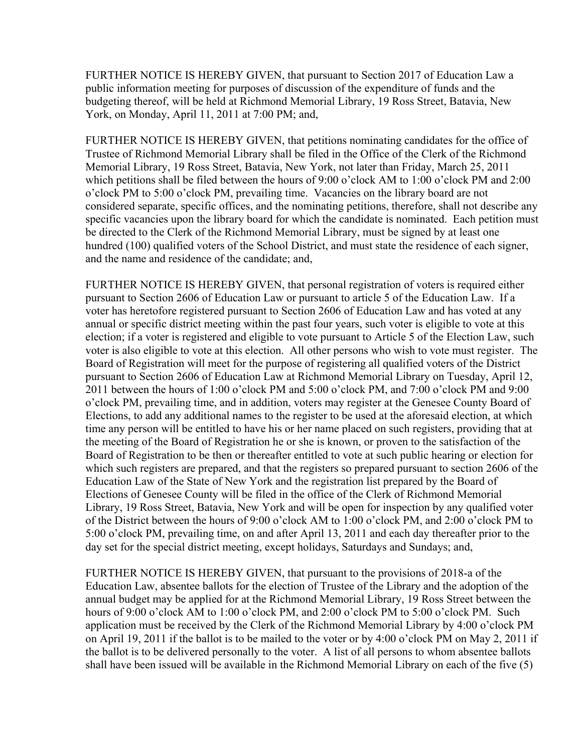FURTHER NOTICE IS HEREBY GIVEN, that pursuant to Section 2017 of Education Law a public information meeting for purposes of discussion of the expenditure of funds and the budgeting thereof, will be held at Richmond Memorial Library, 19 Ross Street, Batavia, New York, on Monday, April 11, 2011 at 7:00 PM; and,

FURTHER NOTICE IS HEREBY GIVEN, that petitions nominating candidates for the office of Trustee of Richmond Memorial Library shall be filed in the Office of the Clerk of the Richmond Memorial Library, 19 Ross Street, Batavia, New York, not later than Friday, March 25, 2011 which petitions shall be filed between the hours of 9:00 o'clock AM to 1:00 o'clock PM and 2:00 o'clock PM to 5:00 o'clock PM, prevailing time. Vacancies on the library board are not considered separate, specific offices, and the nominating petitions, therefore, shall not describe any specific vacancies upon the library board for which the candidate is nominated. Each petition must be directed to the Clerk of the Richmond Memorial Library, must be signed by at least one hundred (100) qualified voters of the School District, and must state the residence of each signer, and the name and residence of the candidate; and,

FURTHER NOTICE IS HEREBY GIVEN, that personal registration of voters is required either pursuant to Section 2606 of Education Law or pursuant to article 5 of the Education Law. If a voter has heretofore registered pursuant to Section 2606 of Education Law and has voted at any annual or specific district meeting within the past four years, such voter is eligible to vote at this election; if a voter is registered and eligible to vote pursuant to Article 5 of the Election Law, such voter is also eligible to vote at this election. All other persons who wish to vote must register. The Board of Registration will meet for the purpose of registering all qualified voters of the District pursuant to Section 2606 of Education Law at Richmond Memorial Library on Tuesday, April 12, 2011 between the hours of 1:00 o'clock PM and 5:00 o'clock PM, and 7:00 o'clock PM and 9:00 o'clock PM, prevailing time, and in addition, voters may register at the Genesee County Board of Elections, to add any additional names to the register to be used at the aforesaid election, at which time any person will be entitled to have his or her name placed on such registers, providing that at the meeting of the Board of Registration he or she is known, or proven to the satisfaction of the Board of Registration to be then or thereafter entitled to vote at such public hearing or election for which such registers are prepared, and that the registers so prepared pursuant to section 2606 of the Education Law of the State of New York and the registration list prepared by the Board of Elections of Genesee County will be filed in the office of the Clerk of Richmond Memorial Library, 19 Ross Street, Batavia, New York and will be open for inspection by any qualified voter of the District between the hours of 9:00 o'clock AM to 1:00 o'clock PM, and 2:00 o'clock PM to 5:00 o'clock PM, prevailing time, on and after April 13, 2011 and each day thereafter prior to the day set for the special district meeting, except holidays, Saturdays and Sundays; and,

FURTHER NOTICE IS HEREBY GIVEN, that pursuant to the provisions of 2018-a of the Education Law, absentee ballots for the election of Trustee of the Library and the adoption of the annual budget may be applied for at the Richmond Memorial Library, 19 Ross Street between the hours of 9:00 o'clock AM to 1:00 o'clock PM, and 2:00 o'clock PM to 5:00 o'clock PM. Such application must be received by the Clerk of the Richmond Memorial Library by 4:00 o'clock PM on April 19, 2011 if the ballot is to be mailed to the voter or by 4:00 o'clock PM on May 2, 2011 if the ballot is to be delivered personally to the voter. A list of all persons to whom absentee ballots shall have been issued will be available in the Richmond Memorial Library on each of the five (5)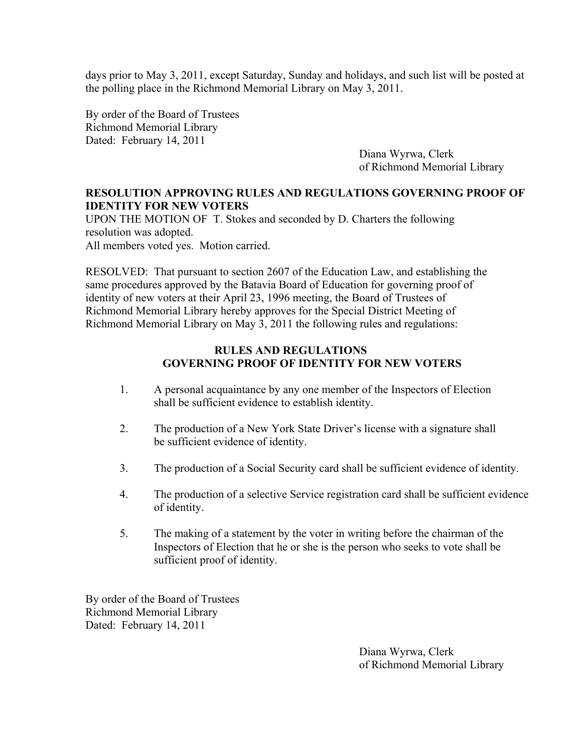days prior to May 3, 2011, except Saturday, Sunday and holidays, and such list will be posted at the polling place in the Richmond Memorial Library on May 3, 2011.

By order of the Board of Trustees Richmond Memorial Library Dated: February 14, 2011

> Diana Wyrwa, Clerk of Richmond Memorial Library

# **RESOLUTION APPROVING RULES AND REGULATIONS GOVERNING PROOF OF IDENTITY FOR NEW VOTERS**

UPON THE MOTION OF T. Stokes and seconded by D. Charters the following resolution was adopted. All members voted yes. Motion carried.

RESOLVED: That pursuant to section 2607 of the Education Law, and establishing the same procedures approved by the Batavia Board of Education for governing proof of identity of new voters at their April 23, 1996 meeting, the Board of Trustees of Richmond Memorial Library hereby approves for the Special District Meeting of Richmond Memorial Library on May 3, 2011 the following rules and regulations:

## **RULES AND REGULATIONS GOVERNING PROOF OF IDENTITY FOR NEW VOTERS**

- 1. A personal acquaintance by any one member of the Inspectors of Election shall be sufficient evidence to establish identity.
- 2. The production of a New York State Driver's license with a signature shall be sufficient evidence of identity.
- 3. The production of a Social Security card shall be sufficient evidence of identity.
- 4. The production of a selective Service registration card shall be sufficient evidence of identity.
- 5. The making of a statement by the voter in writing before the chairman of the Inspectors of Election that he or she is the person who seeks to vote shall be sufficient proof of identity.

By order of the Board of Trustees Richmond Memorial Library Dated: February 14, 2011

> Diana Wyrwa, Clerk of Richmond Memorial Library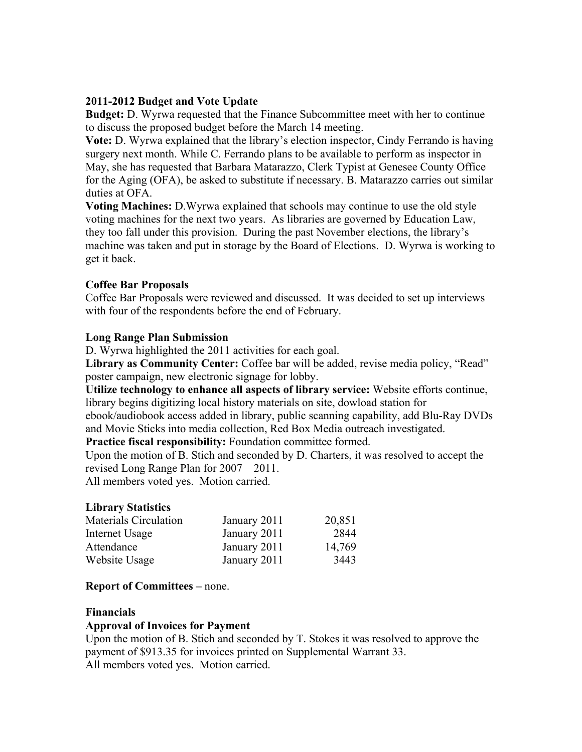## **2011-2012 Budget and Vote Update**

**Budget:** D. Wyrwa requested that the Finance Subcommittee meet with her to continue to discuss the proposed budget before the March 14 meeting.

**Vote:** D. Wyrwa explained that the library's election inspector, Cindy Ferrando is having surgery next month. While C. Ferrando plans to be available to perform as inspector in May, she has requested that Barbara Matarazzo, Clerk Typist at Genesee County Office for the Aging (OFA), be asked to substitute if necessary. B. Matarazzo carries out similar duties at OFA.

**Voting Machines:** D.Wyrwa explained that schools may continue to use the old style voting machines for the next two years. As libraries are governed by Education Law, they too fall under this provision. During the past November elections, the library's machine was taken and put in storage by the Board of Elections. D. Wyrwa is working to get it back.

## **Coffee Bar Proposals**

Coffee Bar Proposals were reviewed and discussed. It was decided to set up interviews with four of the respondents before the end of February.

## **Long Range Plan Submission**

D. Wyrwa highlighted the 2011 activities for each goal.

**Library as Community Center:** Coffee bar will be added, revise media policy, "Read" poster campaign, new electronic signage for lobby.

**Utilize technology to enhance all aspects of library service:** Website efforts continue, library begins digitizing local history materials on site, dowload station for ebook/audiobook access added in library, public scanning capability, add Blu-Ray DVDs

and Movie Sticks into media collection, Red Box Media outreach investigated.

**Practice fiscal responsibility:** Foundation committee formed.

Upon the motion of B. Stich and seconded by D. Charters, it was resolved to accept the revised Long Range Plan for 2007 – 2011.

All members voted yes. Motion carried.

# **Library Statistics**

| <b>Materials Circulation</b> | January 2011 | 20,851 |
|------------------------------|--------------|--------|
| Internet Usage               | January 2011 | 2844   |
| Attendance                   | January 2011 | 14,769 |
| Website Usage                | January 2011 | 3443   |

#### **Report of Committees –** none.

#### **Financials**

# **Approval of Invoices for Payment**

Upon the motion of B. Stich and seconded by T. Stokes it was resolved to approve the payment of \$913.35 for invoices printed on Supplemental Warrant 33. All members voted yes. Motion carried.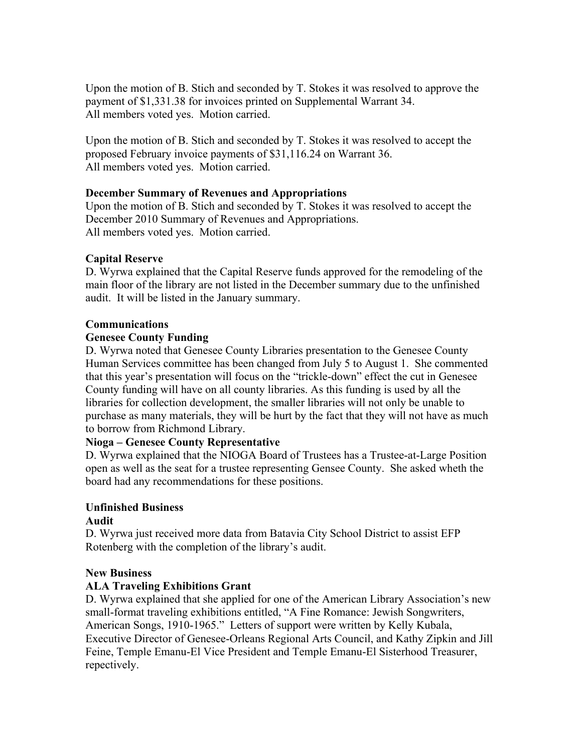Upon the motion of B. Stich and seconded by T. Stokes it was resolved to approve the payment of \$1,331.38 for invoices printed on Supplemental Warrant 34. All members voted yes. Motion carried.

Upon the motion of B. Stich and seconded by T. Stokes it was resolved to accept the proposed February invoice payments of \$31,116.24 on Warrant 36. All members voted yes. Motion carried.

## **December Summary of Revenues and Appropriations**

Upon the motion of B. Stich and seconded by T. Stokes it was resolved to accept the December 2010 Summary of Revenues and Appropriations. All members voted yes. Motion carried.

# **Capital Reserve**

D. Wyrwa explained that the Capital Reserve funds approved for the remodeling of the main floor of the library are not listed in the December summary due to the unfinished audit. It will be listed in the January summary.

#### **Communications**

## **Genesee County Funding**

D. Wyrwa noted that Genesee County Libraries presentation to the Genesee County Human Services committee has been changed from July 5 to August 1. She commented that this year's presentation will focus on the "trickle-down" effect the cut in Genesee County funding will have on all county libraries. As this funding is used by all the libraries for collection development, the smaller libraries will not only be unable to purchase as many materials, they will be hurt by the fact that they will not have as much to borrow from Richmond Library.

#### **Nioga – Genesee County Representative**

D. Wyrwa explained that the NIOGA Board of Trustees has a Trustee-at-Large Position open as well as the seat for a trustee representing Gensee County. She asked wheth the board had any recommendations for these positions.

# **Unfinished Business**

#### **Audit**

D. Wyrwa just received more data from Batavia City School District to assist EFP Rotenberg with the completion of the library's audit.

#### **New Business**

# **ALA Traveling Exhibitions Grant**

D. Wyrwa explained that she applied for one of the American Library Association's new small-format traveling exhibitions entitled, "A Fine Romance: Jewish Songwriters, American Songs, 1910-1965." Letters of support were written by Kelly Kubala, Executive Director of Genesee-Orleans Regional Arts Council, and Kathy Zipkin and Jill Feine, Temple Emanu-El Vice President and Temple Emanu-El Sisterhood Treasurer, repectively.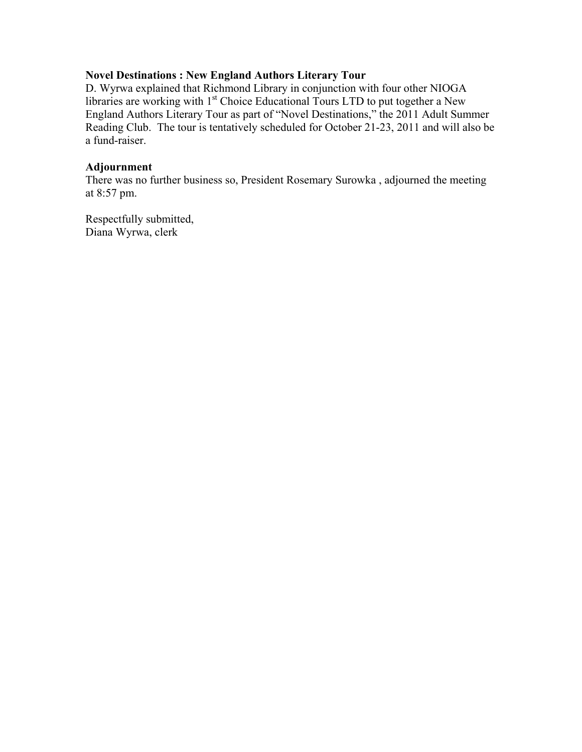## **Novel Destinations : New England Authors Literary Tour**

D. Wyrwa explained that Richmond Library in conjunction with four other NIOGA libraries are working with 1<sup>st</sup> Choice Educational Tours LTD to put together a New England Authors Literary Tour as part of "Novel Destinations," the 2011 Adult Summer Reading Club. The tour is tentatively scheduled for October 21-23, 2011 and will also be a fund-raiser.

## **Adjournment**

There was no further business so, President Rosemary Surowka , adjourned the meeting at 8:57 pm.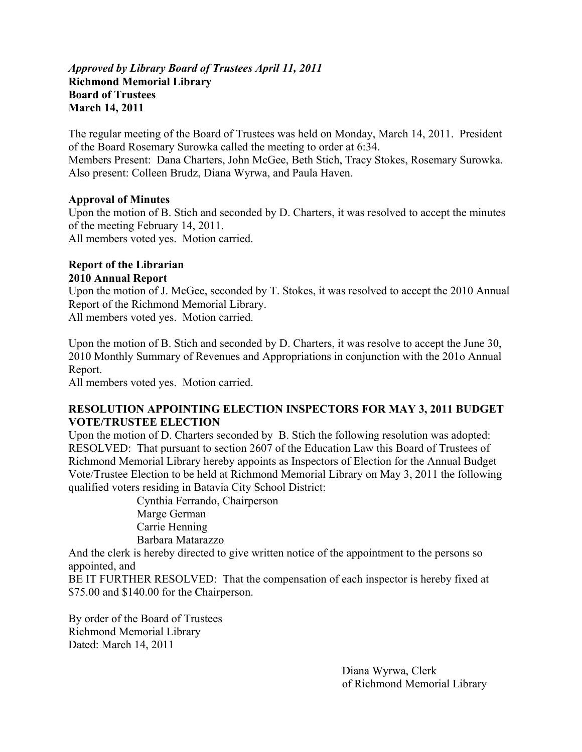## *Approved by Library Board of Trustees April 11, 2011* **Richmond Memorial Library Board of Trustees March 14, 2011**

The regular meeting of the Board of Trustees was held on Monday, March 14, 2011. President of the Board Rosemary Surowka called the meeting to order at 6:34. Members Present: Dana Charters, John McGee, Beth Stich, Tracy Stokes, Rosemary Surowka. Also present: Colleen Brudz, Diana Wyrwa, and Paula Haven.

## **Approval of Minutes**

Upon the motion of B. Stich and seconded by D. Charters, it was resolved to accept the minutes of the meeting February 14, 2011. All members voted yes. Motion carried.

## **Report of the Librarian 2010 Annual Report**

Upon the motion of J. McGee, seconded by T. Stokes, it was resolved to accept the 2010 Annual Report of the Richmond Memorial Library.

All members voted yes. Motion carried.

Upon the motion of B. Stich and seconded by D. Charters, it was resolve to accept the June 30, 2010 Monthly Summary of Revenues and Appropriations in conjunction with the 201o Annual Report.

All members voted yes. Motion carried.

## **RESOLUTION APPOINTING ELECTION INSPECTORS FOR MAY 3, 2011 BUDGET VOTE/TRUSTEE ELECTION**

Upon the motion of D. Charters seconded by B. Stich the following resolution was adopted: RESOLVED: That pursuant to section 2607 of the Education Law this Board of Trustees of Richmond Memorial Library hereby appoints as Inspectors of Election for the Annual Budget Vote/Trustee Election to be held at Richmond Memorial Library on May 3, 2011 the following qualified voters residing in Batavia City School District:

 Cynthia Ferrando, Chairperson Marge German Carrie Henning Barbara Matarazzo

And the clerk is hereby directed to give written notice of the appointment to the persons so appointed, and

BE IT FURTHER RESOLVED: That the compensation of each inspector is hereby fixed at \$75.00 and \$140.00 for the Chairperson.

By order of the Board of Trustees Richmond Memorial Library Dated: March 14, 2011

> Diana Wyrwa, Clerk of Richmond Memorial Library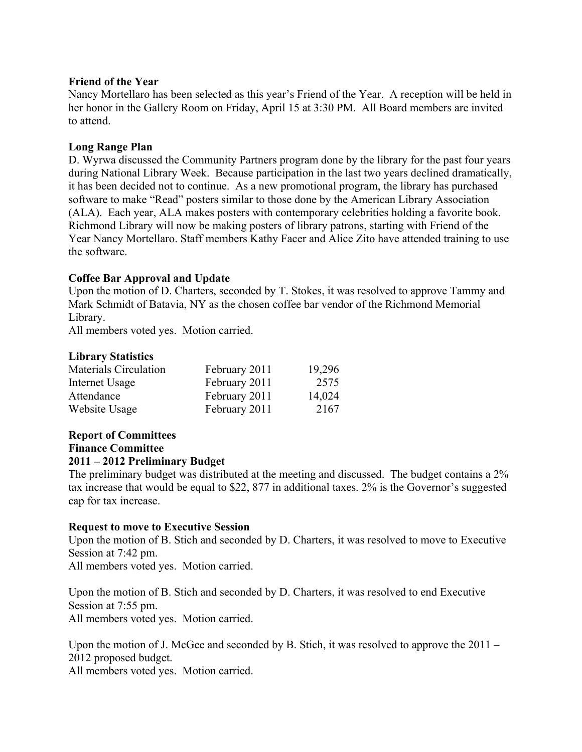## **Friend of the Year**

Nancy Mortellaro has been selected as this year's Friend of the Year. A reception will be held in her honor in the Gallery Room on Friday, April 15 at 3:30 PM. All Board members are invited to attend.

## **Long Range Plan**

D. Wyrwa discussed the Community Partners program done by the library for the past four years during National Library Week. Because participation in the last two years declined dramatically, it has been decided not to continue. As a new promotional program, the library has purchased software to make "Read" posters similar to those done by the American Library Association (ALA). Each year, ALA makes posters with contemporary celebrities holding a favorite book. Richmond Library will now be making posters of library patrons, starting with Friend of the Year Nancy Mortellaro. Staff members Kathy Facer and Alice Zito have attended training to use the software.

# **Coffee Bar Approval and Update**

Upon the motion of D. Charters, seconded by T. Stokes, it was resolved to approve Tammy and Mark Schmidt of Batavia, NY as the chosen coffee bar vendor of the Richmond Memorial Library.

All members voted yes. Motion carried.

## **Library Statistics**

| Materials Circulation | February 2011 | 19,296 |
|-----------------------|---------------|--------|
| Internet Usage        | February 2011 | 2575   |
| Attendance            | February 2011 | 14,024 |
| Website Usage         | February 2011 | 2167   |

#### **Report of Committees Finance Committee**

# **2011 – 2012 Preliminary Budget**

The preliminary budget was distributed at the meeting and discussed. The budget contains a 2% tax increase that would be equal to \$22, 877 in additional taxes. 2% is the Governor's suggested cap for tax increase.

#### **Request to move to Executive Session**

Upon the motion of B. Stich and seconded by D. Charters, it was resolved to move to Executive Session at 7:42 pm.

All members voted yes. Motion carried.

Upon the motion of B. Stich and seconded by D. Charters, it was resolved to end Executive Session at 7:55 pm. All members voted yes. Motion carried.

Upon the motion of J. McGee and seconded by B. Stich, it was resolved to approve the 2011 – 2012 proposed budget.

All members voted yes. Motion carried.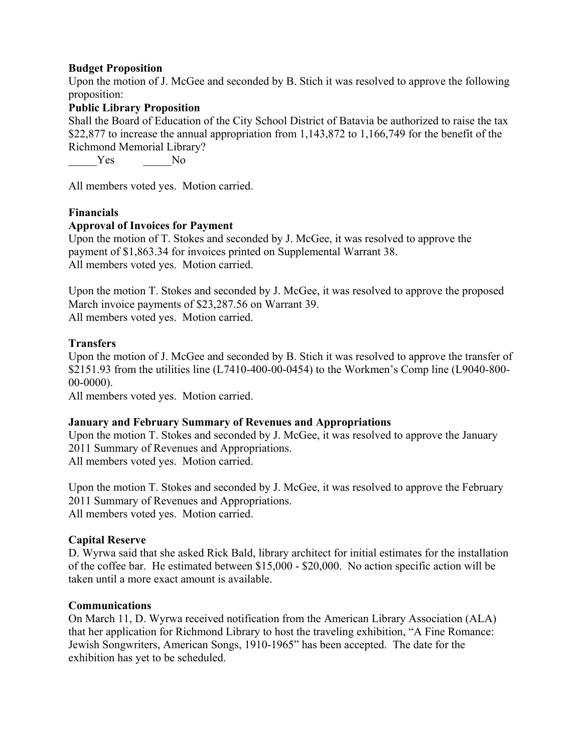## **Budget Proposition**

Upon the motion of J. McGee and seconded by B. Stich it was resolved to approve the following proposition:

## **Public Library Proposition**

Shall the Board of Education of the City School District of Batavia be authorized to raise the tax \$22,877 to increase the annual appropriation from 1,143,872 to 1,166,749 for the benefit of the Richmond Memorial Library?

Yes No

All members voted yes. Motion carried.

#### **Financials**

#### **Approval of Invoices for Payment**

Upon the motion of T. Stokes and seconded by J. McGee, it was resolved to approve the payment of \$1,863.34 for invoices printed on Supplemental Warrant 38. All members voted yes. Motion carried.

Upon the motion T. Stokes and seconded by J. McGee, it was resolved to approve the proposed March invoice payments of \$23,287.56 on Warrant 39. All members voted yes. Motion carried.

#### **Transfers**

Upon the motion of J. McGee and seconded by B. Stich it was resolved to approve the transfer of \$2151.93 from the utilities line (L7410-400-00-0454) to the Workmen's Comp line (L9040-800- 00-0000).

All members voted yes. Motion carried.

#### **January and February Summary of Revenues and Appropriations**

Upon the motion T. Stokes and seconded by J. McGee, it was resolved to approve the January 2011 Summary of Revenues and Appropriations. All members voted yes. Motion carried.

Upon the motion T. Stokes and seconded by J. McGee, it was resolved to approve the February 2011 Summary of Revenues and Appropriations. All members voted yes. Motion carried.

#### **Capital Reserve**

D. Wyrwa said that she asked Rick Bald, library architect for initial estimates for the installation of the coffee bar. He estimated between \$15,000 - \$20,000. No action specific action will be taken until a more exact amount is available.

#### **Communications**

On March 11, D. Wyrwa received notification from the American Library Association (ALA) that her application for Richmond Library to host the traveling exhibition, "A Fine Romance: Jewish Songwriters, American Songs, 1910-1965" has been accepted. The date for the exhibition has yet to be scheduled.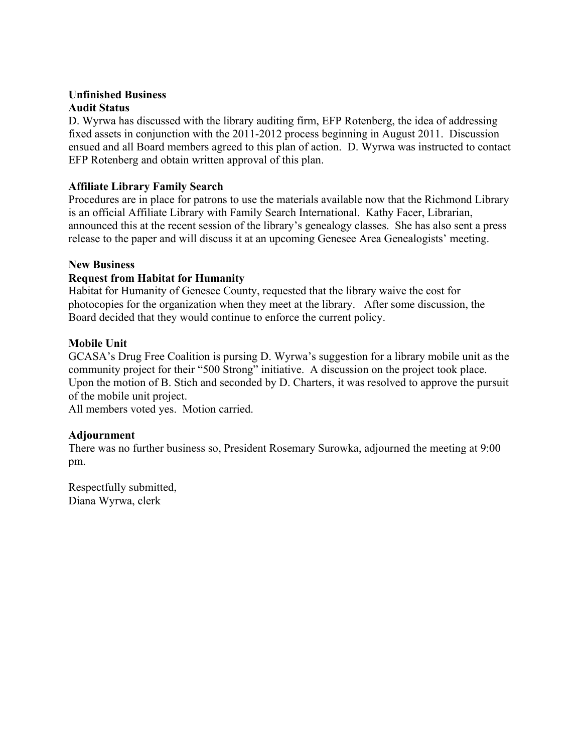# **Unfinished Business Audit Status**

D. Wyrwa has discussed with the library auditing firm, EFP Rotenberg, the idea of addressing fixed assets in conjunction with the 2011-2012 process beginning in August 2011. Discussion ensued and all Board members agreed to this plan of action. D. Wyrwa was instructed to contact EFP Rotenberg and obtain written approval of this plan.

# **Affiliate Library Family Search**

Procedures are in place for patrons to use the materials available now that the Richmond Library is an official Affiliate Library with Family Search International. Kathy Facer, Librarian, announced this at the recent session of the library's genealogy classes. She has also sent a press release to the paper and will discuss it at an upcoming Genesee Area Genealogists' meeting.

# **New Business**

# **Request from Habitat for Humanity**

Habitat for Humanity of Genesee County, requested that the library waive the cost for photocopies for the organization when they meet at the library. After some discussion, the Board decided that they would continue to enforce the current policy.

# **Mobile Unit**

GCASA's Drug Free Coalition is pursing D. Wyrwa's suggestion for a library mobile unit as the community project for their "500 Strong" initiative. A discussion on the project took place. Upon the motion of B. Stich and seconded by D. Charters, it was resolved to approve the pursuit of the mobile unit project.

All members voted yes. Motion carried.

# **Adjournment**

There was no further business so, President Rosemary Surowka, adjourned the meeting at 9:00 pm.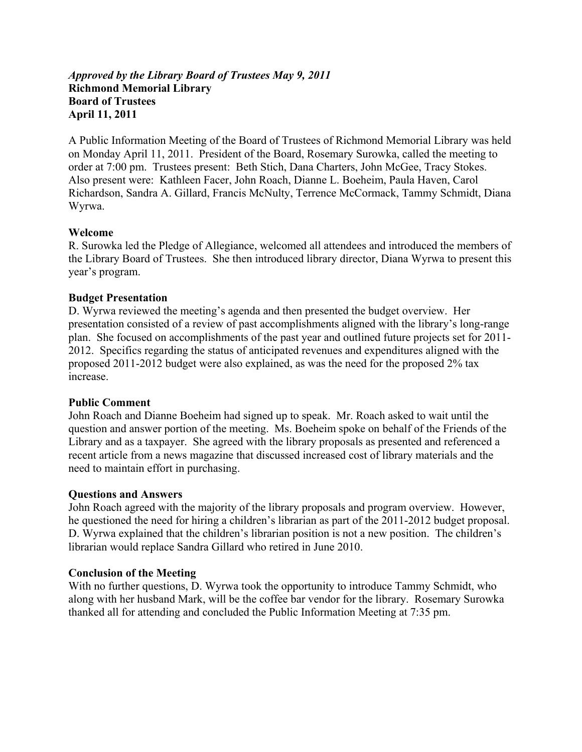## *Approved by the Library Board of Trustees May 9, 2011*  **Richmond Memorial Library Board of Trustees April 11, 2011**

A Public Information Meeting of the Board of Trustees of Richmond Memorial Library was held on Monday April 11, 2011. President of the Board, Rosemary Surowka, called the meeting to order at 7:00 pm. Trustees present: Beth Stich, Dana Charters, John McGee, Tracy Stokes. Also present were: Kathleen Facer, John Roach, Dianne L. Boeheim, Paula Haven, Carol Richardson, Sandra A. Gillard, Francis McNulty, Terrence McCormack, Tammy Schmidt, Diana Wyrwa.

#### **Welcome**

R. Surowka led the Pledge of Allegiance, welcomed all attendees and introduced the members of the Library Board of Trustees. She then introduced library director, Diana Wyrwa to present this year's program.

## **Budget Presentation**

D. Wyrwa reviewed the meeting's agenda and then presented the budget overview. Her presentation consisted of a review of past accomplishments aligned with the library's long-range plan. She focused on accomplishments of the past year and outlined future projects set for 2011- 2012. Specifics regarding the status of anticipated revenues and expenditures aligned with the proposed 2011-2012 budget were also explained, as was the need for the proposed 2% tax increase.

#### **Public Comment**

John Roach and Dianne Boeheim had signed up to speak. Mr. Roach asked to wait until the question and answer portion of the meeting. Ms. Boeheim spoke on behalf of the Friends of the Library and as a taxpayer. She agreed with the library proposals as presented and referenced a recent article from a news magazine that discussed increased cost of library materials and the need to maintain effort in purchasing.

#### **Questions and Answers**

John Roach agreed with the majority of the library proposals and program overview. However, he questioned the need for hiring a children's librarian as part of the 2011-2012 budget proposal. D. Wyrwa explained that the children's librarian position is not a new position. The children's librarian would replace Sandra Gillard who retired in June 2010.

#### **Conclusion of the Meeting**

With no further questions, D. Wyrwa took the opportunity to introduce Tammy Schmidt, who along with her husband Mark, will be the coffee bar vendor for the library. Rosemary Surowka thanked all for attending and concluded the Public Information Meeting at 7:35 pm.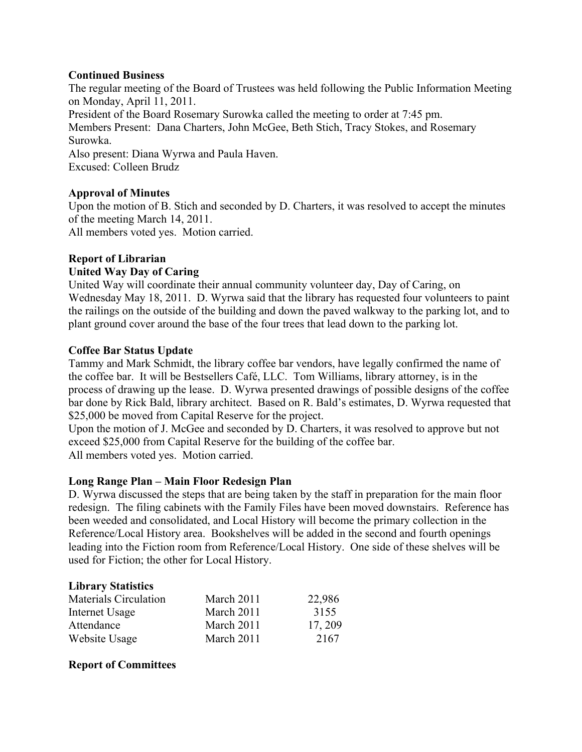## **Continued Business**

The regular meeting of the Board of Trustees was held following the Public Information Meeting on Monday, April 11, 2011.

President of the Board Rosemary Surowka called the meeting to order at 7:45 pm. Members Present: Dana Charters, John McGee, Beth Stich, Tracy Stokes, and Rosemary Surowka.

Also present: Diana Wyrwa and Paula Haven. Excused: Colleen Brudz

# **Approval of Minutes**

Upon the motion of B. Stich and seconded by D. Charters, it was resolved to accept the minutes of the meeting March 14, 2011.

All members voted yes. Motion carried.

# **Report of Librarian**

# **United Way Day of Caring**

United Way will coordinate their annual community volunteer day, Day of Caring, on Wednesday May 18, 2011. D. Wyrwa said that the library has requested four volunteers to paint the railings on the outside of the building and down the paved walkway to the parking lot, and to plant ground cover around the base of the four trees that lead down to the parking lot.

# **Coffee Bar Status Update**

Tammy and Mark Schmidt, the library coffee bar vendors, have legally confirmed the name of the coffee bar. It will be Bestsellers Café, LLC. Tom Williams, library attorney, is in the process of drawing up the lease. D. Wyrwa presented drawings of possible designs of the coffee bar done by Rick Bald, library architect. Based on R. Bald's estimates, D. Wyrwa requested that \$25,000 be moved from Capital Reserve for the project.

Upon the motion of J. McGee and seconded by D. Charters, it was resolved to approve but not exceed \$25,000 from Capital Reserve for the building of the coffee bar. All members voted yes. Motion carried.

# **Long Range Plan – Main Floor Redesign Plan**

D. Wyrwa discussed the steps that are being taken by the staff in preparation for the main floor redesign. The filing cabinets with the Family Files have been moved downstairs. Reference has been weeded and consolidated, and Local History will become the primary collection in the Reference/Local History area. Bookshelves will be added in the second and fourth openings leading into the Fiction room from Reference/Local History. One side of these shelves will be used for Fiction; the other for Local History.

# **Library Statistics**

| <b>Materials Circulation</b> | March 2011 | 22,986  |
|------------------------------|------------|---------|
| Internet Usage               | March 2011 | 3155    |
| Attendance                   | March 2011 | 17, 209 |
| Website Usage                | March 2011 | 2167    |

# **Report of Committees**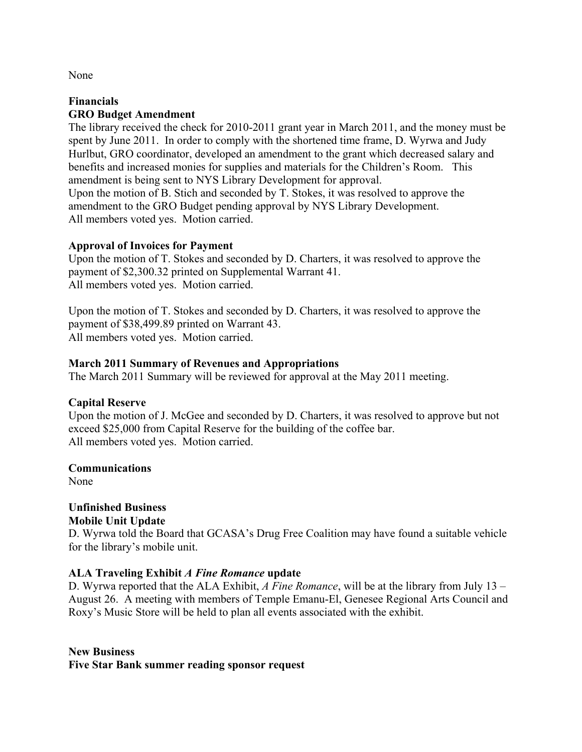None

## **Financials GRO Budget Amendment**

The library received the check for 2010-2011 grant year in March 2011, and the money must be spent by June 2011. In order to comply with the shortened time frame, D. Wyrwa and Judy Hurlbut, GRO coordinator, developed an amendment to the grant which decreased salary and benefits and increased monies for supplies and materials for the Children's Room. This amendment is being sent to NYS Library Development for approval. Upon the motion of B. Stich and seconded by T. Stokes, it was resolved to approve the

amendment to the GRO Budget pending approval by NYS Library Development. All members voted yes. Motion carried.

# **Approval of Invoices for Payment**

Upon the motion of T. Stokes and seconded by D. Charters, it was resolved to approve the payment of \$2,300.32 printed on Supplemental Warrant 41. All members voted yes. Motion carried.

Upon the motion of T. Stokes and seconded by D. Charters, it was resolved to approve the payment of \$38,499.89 printed on Warrant 43. All members voted yes. Motion carried.

## **March 2011 Summary of Revenues and Appropriations**

The March 2011 Summary will be reviewed for approval at the May 2011 meeting.

# **Capital Reserve**

Upon the motion of J. McGee and seconded by D. Charters, it was resolved to approve but not exceed \$25,000 from Capital Reserve for the building of the coffee bar. All members voted yes. Motion carried.

#### **Communications**

None

# **Unfinished Business**

**Mobile Unit Update** 

D. Wyrwa told the Board that GCASA's Drug Free Coalition may have found a suitable vehicle for the library's mobile unit.

# **ALA Traveling Exhibit** *A Fine Romance* **update**

D. Wyrwa reported that the ALA Exhibit, *A Fine Romance*, will be at the library from July 13 – August 26. A meeting with members of Temple Emanu-El, Genesee Regional Arts Council and Roxy's Music Store will be held to plan all events associated with the exhibit.

**New Business Five Star Bank summer reading sponsor request**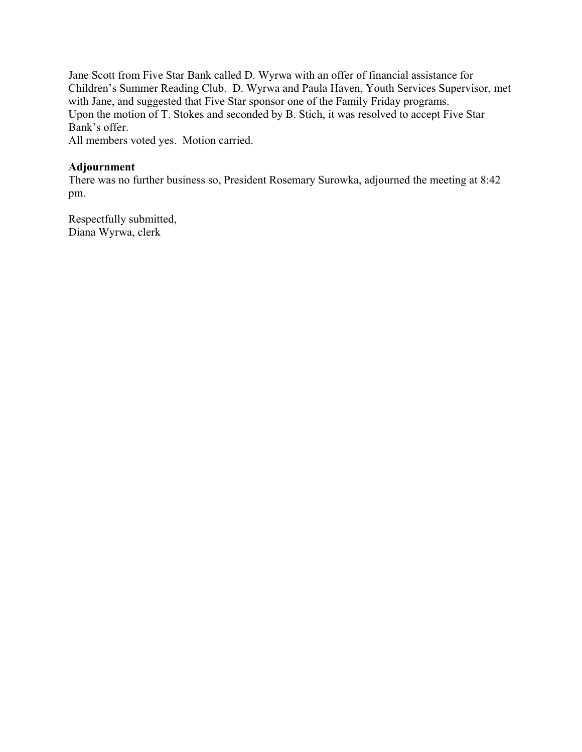Jane Scott from Five Star Bank called D. Wyrwa with an offer of financial assistance for Children's Summer Reading Club. D. Wyrwa and Paula Haven, Youth Services Supervisor, met with Jane, and suggested that Five Star sponsor one of the Family Friday programs. Upon the motion of T. Stokes and seconded by B. Stich, it was resolved to accept Five Star Bank's offer.

All members voted yes. Motion carried.

## **Adjournment**

There was no further business so, President Rosemary Surowka, adjourned the meeting at 8:42 pm.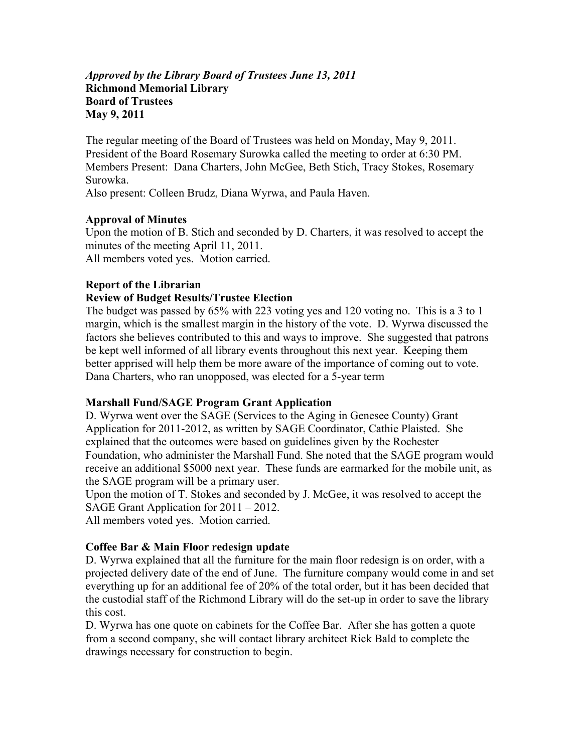## *Approved by the Library Board of Trustees June 13, 2011*  **Richmond Memorial Library Board of Trustees May 9, 2011**

The regular meeting of the Board of Trustees was held on Monday, May 9, 2011. President of the Board Rosemary Surowka called the meeting to order at 6:30 PM. Members Present: Dana Charters, John McGee, Beth Stich, Tracy Stokes, Rosemary Surowka.

Also present: Colleen Brudz, Diana Wyrwa, and Paula Haven.

# **Approval of Minutes**

Upon the motion of B. Stich and seconded by D. Charters, it was resolved to accept the minutes of the meeting April 11, 2011. All members voted yes. Motion carried.

# **Report of the Librarian**

# **Review of Budget Results/Trustee Election**

The budget was passed by 65% with 223 voting yes and 120 voting no. This is a 3 to 1 margin, which is the smallest margin in the history of the vote. D. Wyrwa discussed the factors she believes contributed to this and ways to improve. She suggested that patrons be kept well informed of all library events throughout this next year. Keeping them better apprised will help them be more aware of the importance of coming out to vote. Dana Charters, who ran unopposed, was elected for a 5-year term

# **Marshall Fund/SAGE Program Grant Application**

D. Wyrwa went over the SAGE (Services to the Aging in Genesee County) Grant Application for 2011-2012, as written by SAGE Coordinator, Cathie Plaisted. She explained that the outcomes were based on guidelines given by the Rochester Foundation, who administer the Marshall Fund. She noted that the SAGE program would receive an additional \$5000 next year. These funds are earmarked for the mobile unit, as the SAGE program will be a primary user.

Upon the motion of T. Stokes and seconded by J. McGee, it was resolved to accept the SAGE Grant Application for 2011 – 2012.

All members voted yes. Motion carried.

# **Coffee Bar & Main Floor redesign update**

D. Wyrwa explained that all the furniture for the main floor redesign is on order, with a projected delivery date of the end of June. The furniture company would come in and set everything up for an additional fee of 20% of the total order, but it has been decided that the custodial staff of the Richmond Library will do the set-up in order to save the library this cost.

D. Wyrwa has one quote on cabinets for the Coffee Bar. After she has gotten a quote from a second company, she will contact library architect Rick Bald to complete the drawings necessary for construction to begin.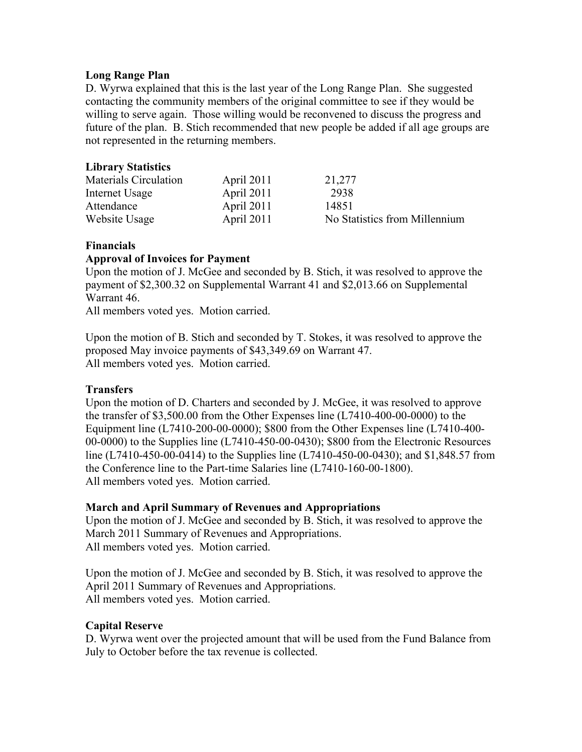## **Long Range Plan**

D. Wyrwa explained that this is the last year of the Long Range Plan. She suggested contacting the community members of the original committee to see if they would be willing to serve again. Those willing would be reconvened to discuss the progress and future of the plan. B. Stich recommended that new people be added if all age groups are not represented in the returning members.

# **Library Statistics**

| Materials Circulation | April 2011 | 21,277                        |
|-----------------------|------------|-------------------------------|
| Internet Usage        | April 2011 | 2938                          |
| Attendance            | April 2011 | 14851                         |
| Website Usage         | April 2011 | No Statistics from Millennium |

## **Financials**

## **Approval of Invoices for Payment**

Upon the motion of J. McGee and seconded by B. Stich, it was resolved to approve the payment of \$2,300.32 on Supplemental Warrant 41 and \$2,013.66 on Supplemental Warrant 46.

All members voted yes. Motion carried.

Upon the motion of B. Stich and seconded by T. Stokes, it was resolved to approve the proposed May invoice payments of \$43,349.69 on Warrant 47. All members voted yes. Motion carried.

#### **Transfers**

Upon the motion of D. Charters and seconded by J. McGee, it was resolved to approve the transfer of \$3,500.00 from the Other Expenses line (L7410-400-00-0000) to the Equipment line (L7410-200-00-0000); \$800 from the Other Expenses line (L7410-400- 00-0000) to the Supplies line (L7410-450-00-0430); \$800 from the Electronic Resources line (L7410-450-00-0414) to the Supplies line (L7410-450-00-0430); and \$1,848.57 from the Conference line to the Part-time Salaries line (L7410-160-00-1800). All members voted yes. Motion carried.

#### **March and April Summary of Revenues and Appropriations**

Upon the motion of J. McGee and seconded by B. Stich, it was resolved to approve the March 2011 Summary of Revenues and Appropriations. All members voted yes. Motion carried.

Upon the motion of J. McGee and seconded by B. Stich, it was resolved to approve the April 2011 Summary of Revenues and Appropriations. All members voted yes. Motion carried.

#### **Capital Reserve**

D. Wyrwa went over the projected amount that will be used from the Fund Balance from July to October before the tax revenue is collected.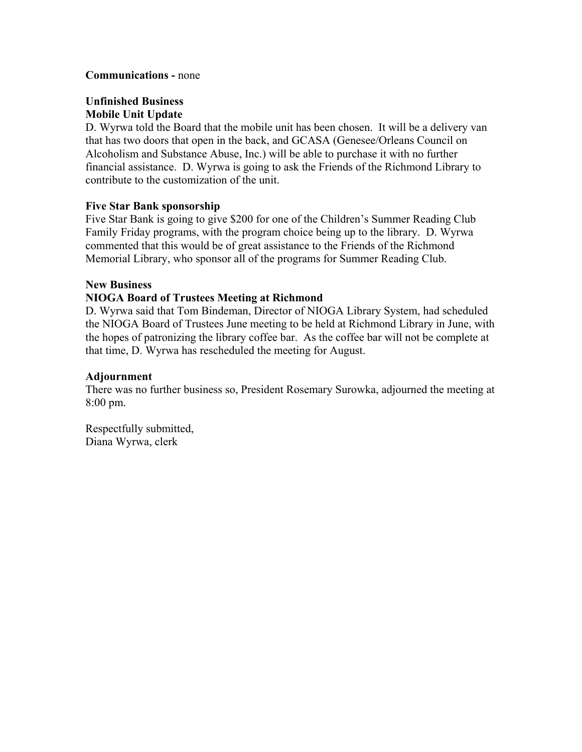#### **Communications -** none

## **Unfinished Business Mobile Unit Update**

D. Wyrwa told the Board that the mobile unit has been chosen. It will be a delivery van that has two doors that open in the back, and GCASA (Genesee/Orleans Council on Alcoholism and Substance Abuse, Inc.) will be able to purchase it with no further financial assistance. D. Wyrwa is going to ask the Friends of the Richmond Library to contribute to the customization of the unit.

## **Five Star Bank sponsorship**

Five Star Bank is going to give \$200 for one of the Children's Summer Reading Club Family Friday programs, with the program choice being up to the library. D. Wyrwa commented that this would be of great assistance to the Friends of the Richmond Memorial Library, who sponsor all of the programs for Summer Reading Club.

#### **New Business**

## **NIOGA Board of Trustees Meeting at Richmond**

D. Wyrwa said that Tom Bindeman, Director of NIOGA Library System, had scheduled the NIOGA Board of Trustees June meeting to be held at Richmond Library in June, with the hopes of patronizing the library coffee bar. As the coffee bar will not be complete at that time, D. Wyrwa has rescheduled the meeting for August.

#### **Adjournment**

There was no further business so, President Rosemary Surowka, adjourned the meeting at 8:00 pm.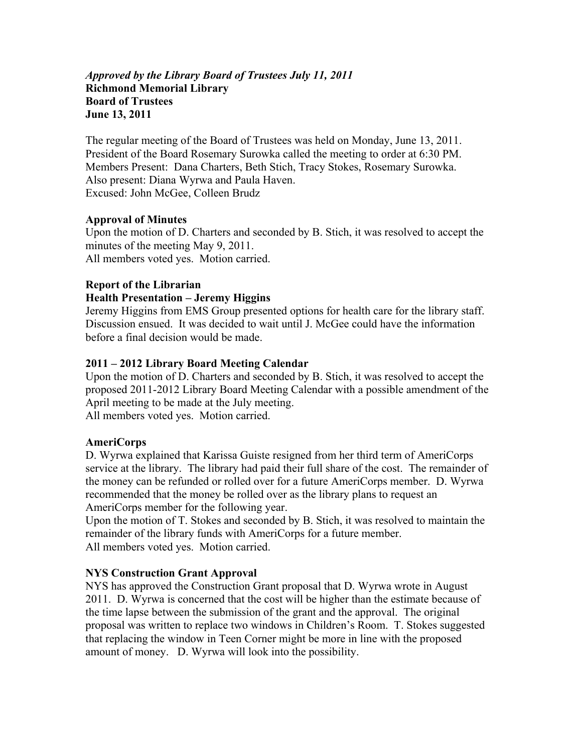## *Approved by the Library Board of Trustees July 11, 2011*  **Richmond Memorial Library Board of Trustees June 13, 2011**

The regular meeting of the Board of Trustees was held on Monday, June 13, 2011. President of the Board Rosemary Surowka called the meeting to order at 6:30 PM. Members Present: Dana Charters, Beth Stich, Tracy Stokes, Rosemary Surowka. Also present: Diana Wyrwa and Paula Haven. Excused: John McGee, Colleen Brudz

# **Approval of Minutes**

Upon the motion of D. Charters and seconded by B. Stich, it was resolved to accept the minutes of the meeting May 9, 2011. All members voted yes. Motion carried.

## **Report of the Librarian**

# **Health Presentation – Jeremy Higgins**

Jeremy Higgins from EMS Group presented options for health care for the library staff. Discussion ensued. It was decided to wait until J. McGee could have the information before a final decision would be made.

## **2011 – 2012 Library Board Meeting Calendar**

Upon the motion of D. Charters and seconded by B. Stich, it was resolved to accept the proposed 2011-2012 Library Board Meeting Calendar with a possible amendment of the April meeting to be made at the July meeting.

All members voted yes. Motion carried.

#### **AmeriCorps**

D. Wyrwa explained that Karissa Guiste resigned from her third term of AmeriCorps service at the library. The library had paid their full share of the cost. The remainder of the money can be refunded or rolled over for a future AmeriCorps member. D. Wyrwa recommended that the money be rolled over as the library plans to request an AmeriCorps member for the following year.

Upon the motion of T. Stokes and seconded by B. Stich, it was resolved to maintain the remainder of the library funds with AmeriCorps for a future member. All members voted yes. Motion carried.

#### **NYS Construction Grant Approval**

NYS has approved the Construction Grant proposal that D. Wyrwa wrote in August 2011. D. Wyrwa is concerned that the cost will be higher than the estimate because of the time lapse between the submission of the grant and the approval. The original proposal was written to replace two windows in Children's Room. T. Stokes suggested that replacing the window in Teen Corner might be more in line with the proposed amount of money. D. Wyrwa will look into the possibility.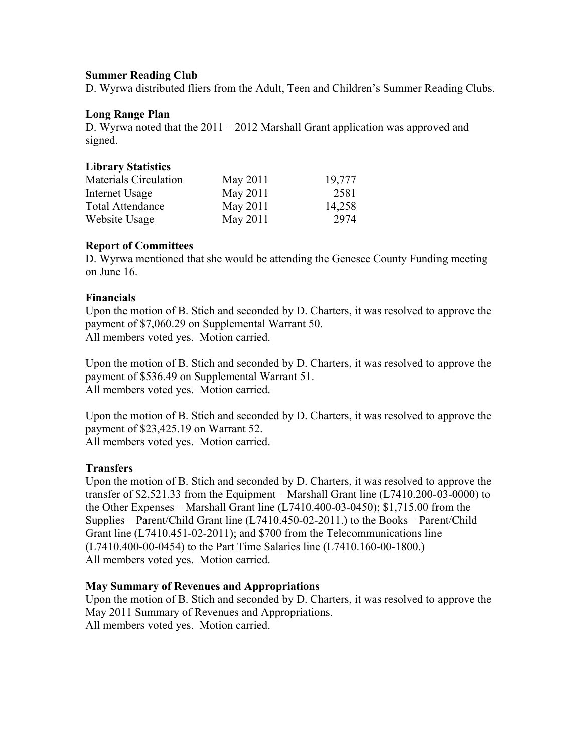## **Summer Reading Club**

D. Wyrwa distributed fliers from the Adult, Teen and Children's Summer Reading Clubs.

## **Long Range Plan**

D. Wyrwa noted that the 2011 – 2012 Marshall Grant application was approved and signed.

## **Library Statistics**

| Materials Circulation   | May 2011 | 19,777 |
|-------------------------|----------|--------|
| Internet Usage          | May 2011 | 2581   |
| <b>Total Attendance</b> | May 2011 | 14,258 |
| Website Usage           | May 2011 | 2974   |

# **Report of Committees**

D. Wyrwa mentioned that she would be attending the Genesee County Funding meeting on June 16.

# **Financials**

Upon the motion of B. Stich and seconded by D. Charters, it was resolved to approve the payment of \$7,060.29 on Supplemental Warrant 50. All members voted yes. Motion carried.

Upon the motion of B. Stich and seconded by D. Charters, it was resolved to approve the payment of \$536.49 on Supplemental Warrant 51. All members voted yes. Motion carried.

Upon the motion of B. Stich and seconded by D. Charters, it was resolved to approve the payment of \$23,425.19 on Warrant 52. All members voted yes. Motion carried.

# **Transfers**

Upon the motion of B. Stich and seconded by D. Charters, it was resolved to approve the transfer of \$2,521.33 from the Equipment – Marshall Grant line (L7410.200-03-0000) to the Other Expenses – Marshall Grant line (L7410.400-03-0450); \$1,715.00 from the Supplies – Parent/Child Grant line (L7410.450-02-2011.) to the Books – Parent/Child Grant line (L7410.451-02-2011); and \$700 from the Telecommunications line (L7410.400-00-0454) to the Part Time Salaries line (L7410.160-00-1800.) All members voted yes. Motion carried.

#### **May Summary of Revenues and Appropriations**

Upon the motion of B. Stich and seconded by D. Charters, it was resolved to approve the May 2011 Summary of Revenues and Appropriations. All members voted yes. Motion carried.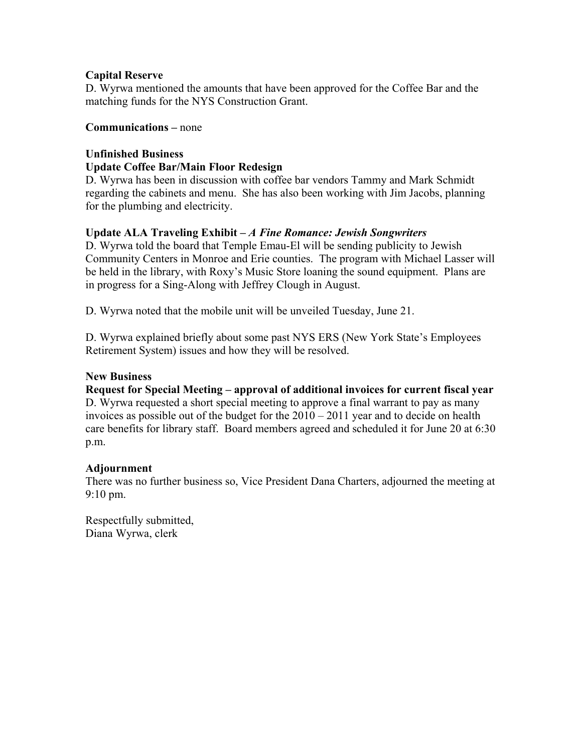# **Capital Reserve**

D. Wyrwa mentioned the amounts that have been approved for the Coffee Bar and the matching funds for the NYS Construction Grant.

# **Communications –** none

#### **Unfinished Business Update Coffee Bar/Main Floor Redesign**

D. Wyrwa has been in discussion with coffee bar vendors Tammy and Mark Schmidt regarding the cabinets and menu. She has also been working with Jim Jacobs, planning for the plumbing and electricity.

# **Update ALA Traveling Exhibit –** *A Fine Romance: Jewish Songwriters*

D. Wyrwa told the board that Temple Emau-El will be sending publicity to Jewish Community Centers in Monroe and Erie counties. The program with Michael Lasser will be held in the library, with Roxy's Music Store loaning the sound equipment. Plans are in progress for a Sing-Along with Jeffrey Clough in August.

D. Wyrwa noted that the mobile unit will be unveiled Tuesday, June 21.

D. Wyrwa explained briefly about some past NYS ERS (New York State's Employees Retirement System) issues and how they will be resolved.

# **New Business**

**Request for Special Meeting – approval of additional invoices for current fiscal year**  D. Wyrwa requested a short special meeting to approve a final warrant to pay as many invoices as possible out of the budget for the 2010 – 2011 year and to decide on health care benefits for library staff. Board members agreed and scheduled it for June 20 at 6:30 p.m.

# **Adjournment**

There was no further business so, Vice President Dana Charters, adjourned the meeting at 9:10 pm.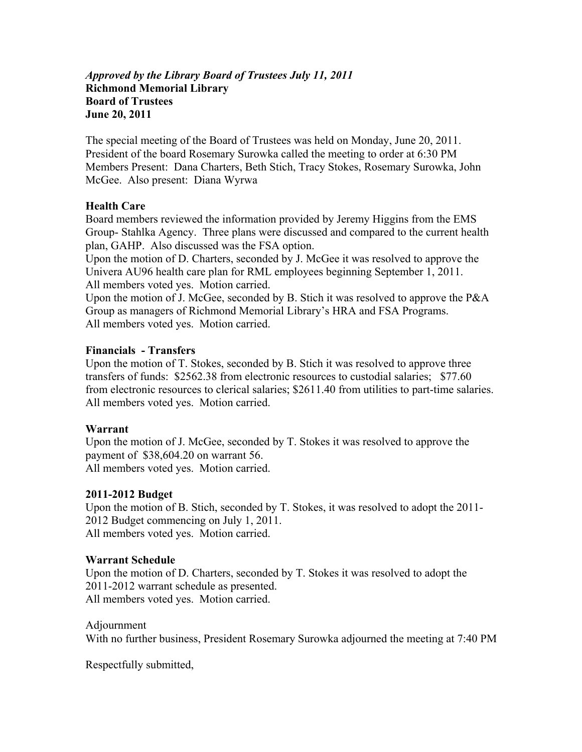## *Approved by the Library Board of Trustees July 11, 2011*  **Richmond Memorial Library Board of Trustees June 20, 2011**

The special meeting of the Board of Trustees was held on Monday, June 20, 2011. President of the board Rosemary Surowka called the meeting to order at 6:30 PM Members Present: Dana Charters, Beth Stich, Tracy Stokes, Rosemary Surowka, John McGee. Also present: Diana Wyrwa

# **Health Care**

Board members reviewed the information provided by Jeremy Higgins from the EMS Group- Stahlka Agency. Three plans were discussed and compared to the current health plan, GAHP. Also discussed was the FSA option.

Upon the motion of D. Charters, seconded by J. McGee it was resolved to approve the Univera AU96 health care plan for RML employees beginning September 1, 2011. All members voted yes. Motion carried.

Upon the motion of J. McGee, seconded by B. Stich it was resolved to approve the P&A Group as managers of Richmond Memorial Library's HRA and FSA Programs. All members voted yes. Motion carried.

## **Financials - Transfers**

Upon the motion of T. Stokes, seconded by B. Stich it was resolved to approve three transfers of funds: \$2562.38 from electronic resources to custodial salaries; \$77.60 from electronic resources to clerical salaries; \$2611.40 from utilities to part-time salaries. All members voted yes. Motion carried.

#### **Warrant**

Upon the motion of J. McGee, seconded by T. Stokes it was resolved to approve the payment of \$38,604.20 on warrant 56. All members voted yes. Motion carried.

#### **2011-2012 Budget**

Upon the motion of B. Stich, seconded by T. Stokes, it was resolved to adopt the 2011- 2012 Budget commencing on July 1, 2011. All members voted yes. Motion carried.

# **Warrant Schedule**

Upon the motion of D. Charters, seconded by T. Stokes it was resolved to adopt the 2011-2012 warrant schedule as presented. All members voted yes. Motion carried.

Adjournment With no further business, President Rosemary Surowka adjourned the meeting at 7:40 PM

Respectfully submitted,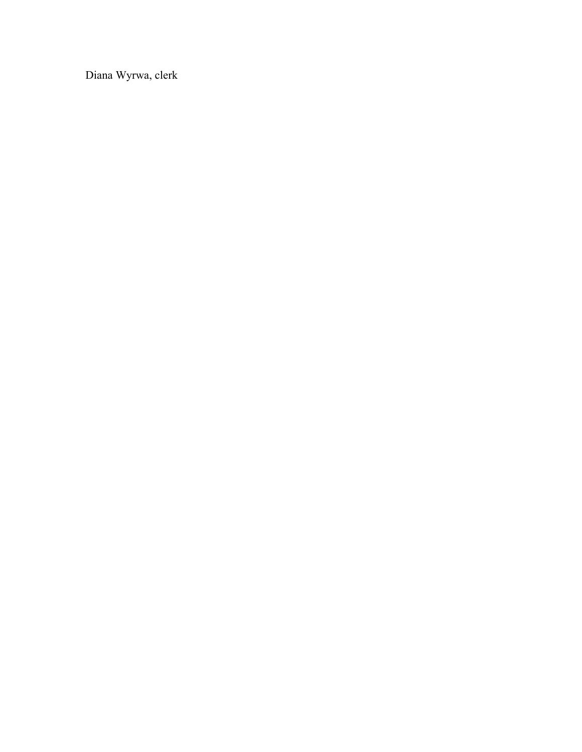Diana Wyrwa, clerk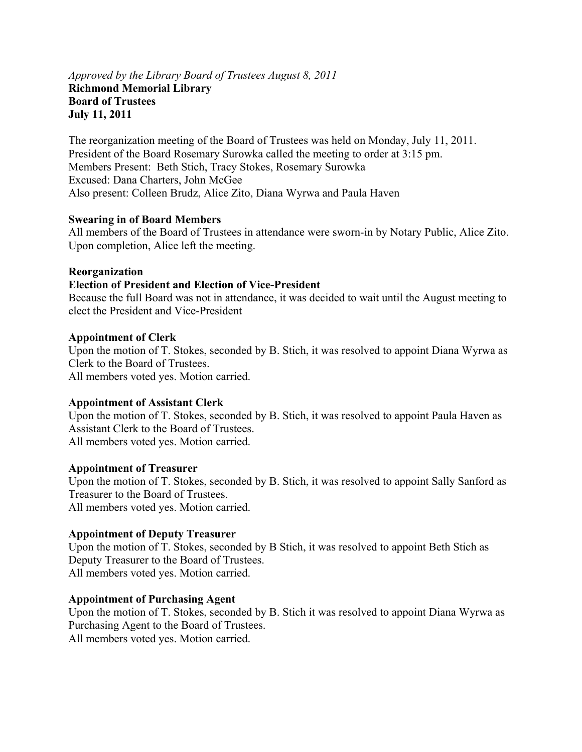## *Approved by the Library Board of Trustees August 8, 2011*  **Richmond Memorial Library Board of Trustees July 11, 2011**

The reorganization meeting of the Board of Trustees was held on Monday, July 11, 2011. President of the Board Rosemary Surowka called the meeting to order at 3:15 pm. Members Present: Beth Stich, Tracy Stokes, Rosemary Surowka Excused: Dana Charters, John McGee Also present: Colleen Brudz, Alice Zito, Diana Wyrwa and Paula Haven

#### **Swearing in of Board Members**

All members of the Board of Trustees in attendance were sworn-in by Notary Public, Alice Zito. Upon completion, Alice left the meeting.

#### **Reorganization**

#### **Election of President and Election of Vice-President**

Because the full Board was not in attendance, it was decided to wait until the August meeting to elect the President and Vice-President

#### **Appointment of Clerk**

Upon the motion of T. Stokes, seconded by B. Stich, it was resolved to appoint Diana Wyrwa as Clerk to the Board of Trustees. All members voted yes. Motion carried.

#### **Appointment of Assistant Clerk**

Upon the motion of T. Stokes, seconded by B. Stich, it was resolved to appoint Paula Haven as Assistant Clerk to the Board of Trustees. All members voted yes. Motion carried.

#### **Appointment of Treasurer**

Upon the motion of T. Stokes, seconded by B. Stich, it was resolved to appoint Sally Sanford as Treasurer to the Board of Trustees. All members voted yes. Motion carried.

#### **Appointment of Deputy Treasurer**

Upon the motion of T. Stokes, seconded by B Stich, it was resolved to appoint Beth Stich as Deputy Treasurer to the Board of Trustees. All members voted yes. Motion carried.

#### **Appointment of Purchasing Agent**

Upon the motion of T. Stokes, seconded by B. Stich it was resolved to appoint Diana Wyrwa as Purchasing Agent to the Board of Trustees.

All members voted yes. Motion carried.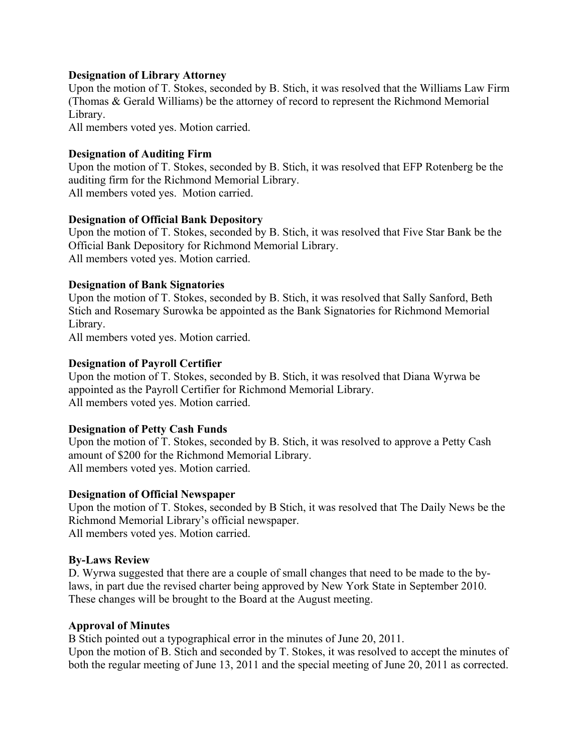## **Designation of Library Attorney**

Upon the motion of T. Stokes, seconded by B. Stich, it was resolved that the Williams Law Firm (Thomas & Gerald Williams) be the attorney of record to represent the Richmond Memorial Library.

All members voted yes. Motion carried.

## **Designation of Auditing Firm**

Upon the motion of T. Stokes, seconded by B. Stich, it was resolved that EFP Rotenberg be the auditing firm for the Richmond Memorial Library. All members voted yes. Motion carried.

## **Designation of Official Bank Depository**

Upon the motion of T. Stokes, seconded by B. Stich, it was resolved that Five Star Bank be the Official Bank Depository for Richmond Memorial Library. All members voted yes. Motion carried.

## **Designation of Bank Signatories**

Upon the motion of T. Stokes, seconded by B. Stich, it was resolved that Sally Sanford, Beth Stich and Rosemary Surowka be appointed as the Bank Signatories for Richmond Memorial Library.

All members voted yes. Motion carried.

# **Designation of Payroll Certifier**

Upon the motion of T. Stokes, seconded by B. Stich, it was resolved that Diana Wyrwa be appointed as the Payroll Certifier for Richmond Memorial Library. All members voted yes. Motion carried.

# **Designation of Petty Cash Funds**

Upon the motion of T. Stokes, seconded by B. Stich, it was resolved to approve a Petty Cash amount of \$200 for the Richmond Memorial Library. All members voted yes. Motion carried.

#### **Designation of Official Newspaper**

Upon the motion of T. Stokes, seconded by B Stich, it was resolved that The Daily News be the Richmond Memorial Library's official newspaper. All members voted yes. Motion carried.

# **By-Laws Review**

D. Wyrwa suggested that there are a couple of small changes that need to be made to the bylaws, in part due the revised charter being approved by New York State in September 2010. These changes will be brought to the Board at the August meeting.

#### **Approval of Minutes**

B Stich pointed out a typographical error in the minutes of June 20, 2011. Upon the motion of B. Stich and seconded by T. Stokes, it was resolved to accept the minutes of both the regular meeting of June 13, 2011 and the special meeting of June 20, 2011 as corrected.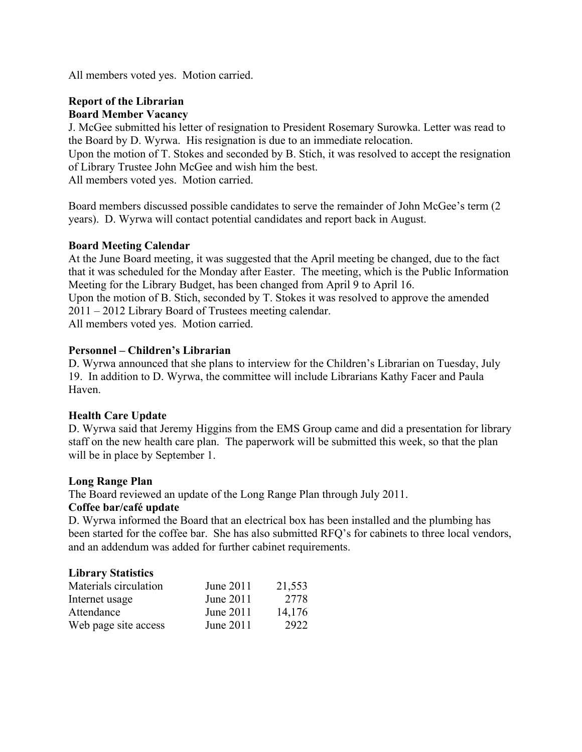All members voted yes. Motion carried.

## **Report of the Librarian Board Member Vacancy**

J. McGee submitted his letter of resignation to President Rosemary Surowka. Letter was read to the Board by D. Wyrwa. His resignation is due to an immediate relocation.

Upon the motion of T. Stokes and seconded by B. Stich, it was resolved to accept the resignation of Library Trustee John McGee and wish him the best.

All members voted yes. Motion carried.

Board members discussed possible candidates to serve the remainder of John McGee's term (2 years). D. Wyrwa will contact potential candidates and report back in August.

# **Board Meeting Calendar**

At the June Board meeting, it was suggested that the April meeting be changed, due to the fact that it was scheduled for the Monday after Easter. The meeting, which is the Public Information Meeting for the Library Budget, has been changed from April 9 to April 16. Upon the motion of B. Stich, seconded by T. Stokes it was resolved to approve the amended 2011 – 2012 Library Board of Trustees meeting calendar. All members voted yes. Motion carried.

## **Personnel – Children's Librarian**

D. Wyrwa announced that she plans to interview for the Children's Librarian on Tuesday, July 19. In addition to D. Wyrwa, the committee will include Librarians Kathy Facer and Paula Haven.

# **Health Care Update**

D. Wyrwa said that Jeremy Higgins from the EMS Group came and did a presentation for library staff on the new health care plan. The paperwork will be submitted this week, so that the plan will be in place by September 1.

#### **Long Range Plan**

The Board reviewed an update of the Long Range Plan through July 2011.

## **Coffee bar/café update**

D. Wyrwa informed the Board that an electrical box has been installed and the plumbing has been started for the coffee bar. She has also submitted RFQ's for cabinets to three local vendors, and an addendum was added for further cabinet requirements.

#### **Library Statistics**

| Materials circulation | June 2011 | 21,553 |
|-----------------------|-----------|--------|
| Internet usage        | June 2011 | 2778   |
| Attendance            | June 2011 | 14,176 |
| Web page site access  | June 2011 | 2922   |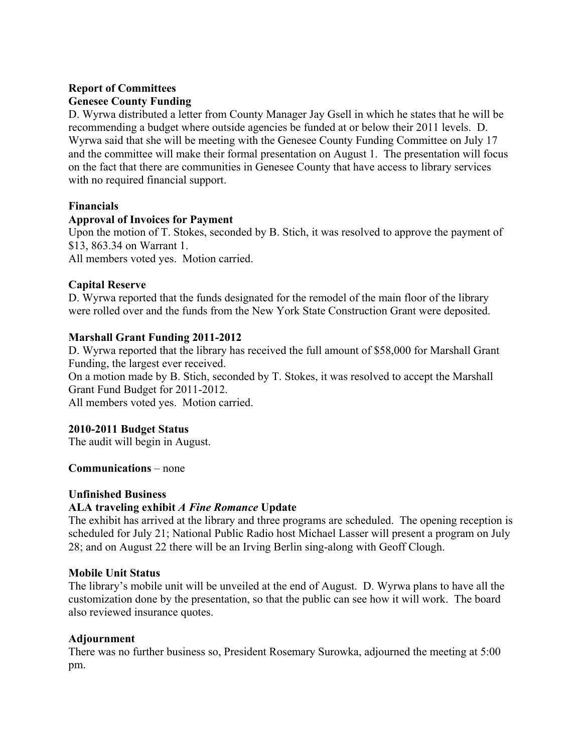# **Report of Committees Genesee County Funding**

D. Wyrwa distributed a letter from County Manager Jay Gsell in which he states that he will be recommending a budget where outside agencies be funded at or below their 2011 levels. D. Wyrwa said that she will be meeting with the Genesee County Funding Committee on July 17 and the committee will make their formal presentation on August 1. The presentation will focus on the fact that there are communities in Genesee County that have access to library services with no required financial support.

## **Financials**

## **Approval of Invoices for Payment**

Upon the motion of T. Stokes, seconded by B. Stich, it was resolved to approve the payment of \$13, 863.34 on Warrant 1.

All members voted yes. Motion carried.

# **Capital Reserve**

D. Wyrwa reported that the funds designated for the remodel of the main floor of the library were rolled over and the funds from the New York State Construction Grant were deposited.

# **Marshall Grant Funding 2011-2012**

D. Wyrwa reported that the library has received the full amount of \$58,000 for Marshall Grant Funding, the largest ever received.

On a motion made by B. Stich, seconded by T. Stokes, it was resolved to accept the Marshall Grant Fund Budget for 2011-2012.

All members voted yes. Motion carried.

# **2010-2011 Budget Status**

The audit will begin in August.

**Communications** – none

#### **Unfinished Business**

#### **ALA traveling exhibit** *A Fine Romance* **Update**

The exhibit has arrived at the library and three programs are scheduled. The opening reception is scheduled for July 21; National Public Radio host Michael Lasser will present a program on July 28; and on August 22 there will be an Irving Berlin sing-along with Geoff Clough.

#### **Mobile Unit Status**

The library's mobile unit will be unveiled at the end of August. D. Wyrwa plans to have all the customization done by the presentation, so that the public can see how it will work. The board also reviewed insurance quotes.

#### **Adjournment**

There was no further business so, President Rosemary Surowka, adjourned the meeting at 5:00 pm.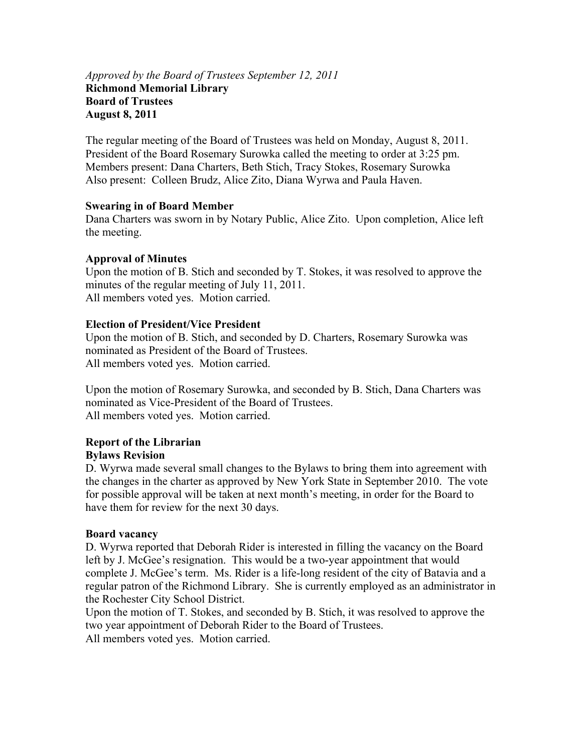## *Approved by the Board of Trustees September 12, 2011*  **Richmond Memorial Library Board of Trustees August 8, 2011**

The regular meeting of the Board of Trustees was held on Monday, August 8, 2011. President of the Board Rosemary Surowka called the meeting to order at 3:25 pm. Members present: Dana Charters, Beth Stich, Tracy Stokes, Rosemary Surowka Also present: Colleen Brudz, Alice Zito, Diana Wyrwa and Paula Haven.

## **Swearing in of Board Member**

Dana Charters was sworn in by Notary Public, Alice Zito. Upon completion, Alice left the meeting.

## **Approval of Minutes**

Upon the motion of B. Stich and seconded by T. Stokes, it was resolved to approve the minutes of the regular meeting of July 11, 2011. All members voted yes. Motion carried.

# **Election of President/Vice President**

Upon the motion of B. Stich, and seconded by D. Charters, Rosemary Surowka was nominated as President of the Board of Trustees. All members voted yes. Motion carried.

Upon the motion of Rosemary Surowka, and seconded by B. Stich, Dana Charters was nominated as Vice-President of the Board of Trustees. All members voted yes. Motion carried.

#### **Report of the Librarian Bylaws Revision**

D. Wyrwa made several small changes to the Bylaws to bring them into agreement with the changes in the charter as approved by New York State in September 2010. The vote for possible approval will be taken at next month's meeting, in order for the Board to have them for review for the next 30 days.

#### **Board vacancy**

D. Wyrwa reported that Deborah Rider is interested in filling the vacancy on the Board left by J. McGee's resignation. This would be a two-year appointment that would complete J. McGee's term. Ms. Rider is a life-long resident of the city of Batavia and a regular patron of the Richmond Library. She is currently employed as an administrator in the Rochester City School District.

Upon the motion of T. Stokes, and seconded by B. Stich, it was resolved to approve the two year appointment of Deborah Rider to the Board of Trustees. All members voted yes. Motion carried.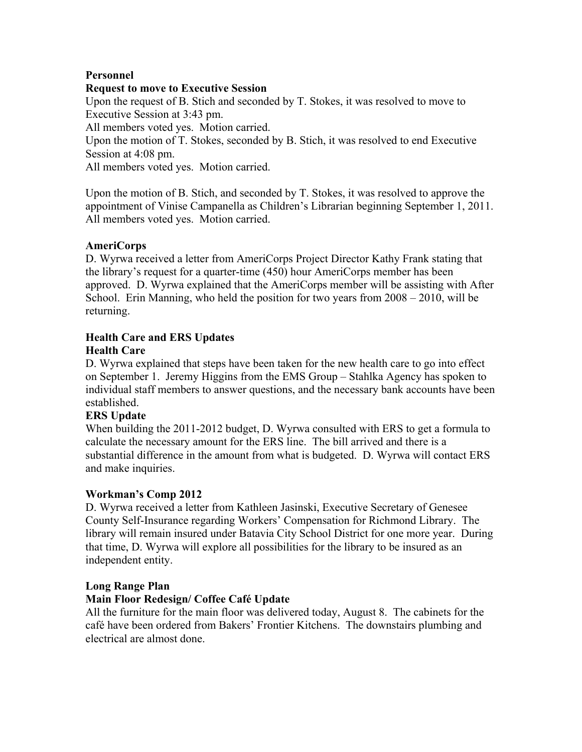# **Personnel**

## **Request to move to Executive Session**

Upon the request of B. Stich and seconded by T. Stokes, it was resolved to move to Executive Session at 3:43 pm.

All members voted yes. Motion carried.

Upon the motion of T. Stokes, seconded by B. Stich, it was resolved to end Executive Session at 4:08 pm.

All members voted yes. Motion carried.

Upon the motion of B. Stich, and seconded by T. Stokes, it was resolved to approve the appointment of Vinise Campanella as Children's Librarian beginning September 1, 2011. All members voted yes. Motion carried.

# **AmeriCorps**

D. Wyrwa received a letter from AmeriCorps Project Director Kathy Frank stating that the library's request for a quarter-time (450) hour AmeriCorps member has been approved. D. Wyrwa explained that the AmeriCorps member will be assisting with After School. Erin Manning, who held the position for two years from 2008 – 2010, will be returning.

# **Health Care and ERS Updates**

# **Health Care**

D. Wyrwa explained that steps have been taken for the new health care to go into effect on September 1. Jeremy Higgins from the EMS Group – Stahlka Agency has spoken to individual staff members to answer questions, and the necessary bank accounts have been established.

# **ERS Update**

When building the 2011-2012 budget, D. Wyrwa consulted with ERS to get a formula to calculate the necessary amount for the ERS line. The bill arrived and there is a substantial difference in the amount from what is budgeted. D. Wyrwa will contact ERS and make inquiries.

# **Workman's Comp 2012**

D. Wyrwa received a letter from Kathleen Jasinski, Executive Secretary of Genesee County Self-Insurance regarding Workers' Compensation for Richmond Library. The library will remain insured under Batavia City School District for one more year. During that time, D. Wyrwa will explore all possibilities for the library to be insured as an independent entity.

# **Long Range Plan**

# **Main Floor Redesign/ Coffee Café Update**

All the furniture for the main floor was delivered today, August 8. The cabinets for the café have been ordered from Bakers' Frontier Kitchens. The downstairs plumbing and electrical are almost done.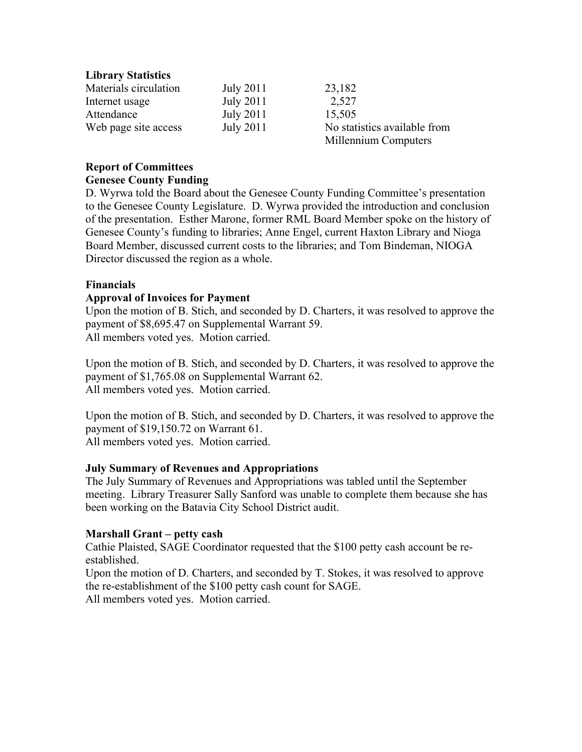## **Library Statistics**

| Materials circulation | July 2011        | 23,182                       |
|-----------------------|------------------|------------------------------|
| Internet usage        | <b>July 2011</b> | 2,527                        |
| Attendance            | July 2011        | 15,505                       |
| Web page site access  | July 2011        | No statistics available from |
|                       |                  | Millennium Computers         |

#### **Report of Committees Genesee County Funding**

D. Wyrwa told the Board about the Genesee County Funding Committee's presentation to the Genesee County Legislature. D. Wyrwa provided the introduction and conclusion of the presentation. Esther Marone, former RML Board Member spoke on the history of Genesee County's funding to libraries; Anne Engel, current Haxton Library and Nioga Board Member, discussed current costs to the libraries; and Tom Bindeman, NIOGA Director discussed the region as a whole.

#### **Financials**

#### **Approval of Invoices for Payment**

Upon the motion of B. Stich, and seconded by D. Charters, it was resolved to approve the payment of \$8,695.47 on Supplemental Warrant 59. All members voted yes. Motion carried.

Upon the motion of B. Stich, and seconded by D. Charters, it was resolved to approve the payment of \$1,765.08 on Supplemental Warrant 62. All members voted yes. Motion carried.

Upon the motion of B. Stich, and seconded by D. Charters, it was resolved to approve the payment of \$19,150.72 on Warrant 61. All members voted yes. Motion carried.

#### **July Summary of Revenues and Appropriations**

The July Summary of Revenues and Appropriations was tabled until the September meeting. Library Treasurer Sally Sanford was unable to complete them because she has been working on the Batavia City School District audit.

#### **Marshall Grant – petty cash**

Cathie Plaisted, SAGE Coordinator requested that the \$100 petty cash account be reestablished.

Upon the motion of D. Charters, and seconded by T. Stokes, it was resolved to approve the re-establishment of the \$100 petty cash count for SAGE. All members voted yes. Motion carried.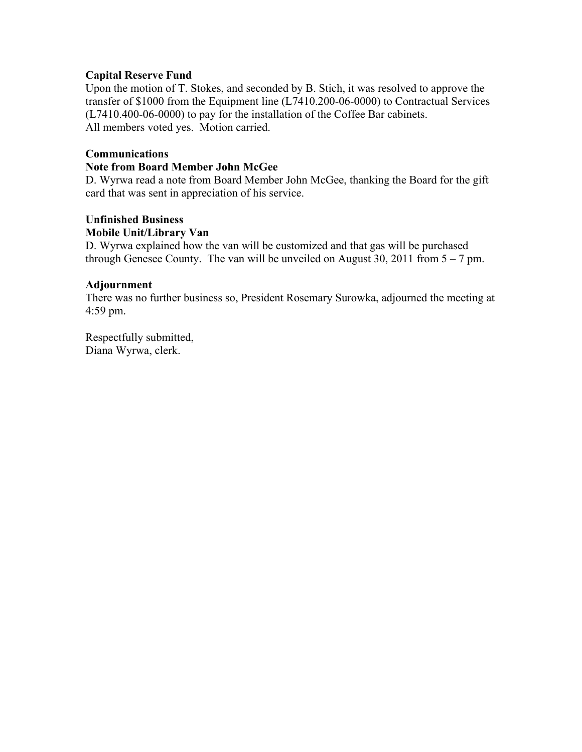## **Capital Reserve Fund**

Upon the motion of T. Stokes, and seconded by B. Stich, it was resolved to approve the transfer of \$1000 from the Equipment line (L7410.200-06-0000) to Contractual Services (L7410.400-06-0000) to pay for the installation of the Coffee Bar cabinets. All members voted yes. Motion carried.

## **Communications**

#### **Note from Board Member John McGee**

D. Wyrwa read a note from Board Member John McGee, thanking the Board for the gift card that was sent in appreciation of his service.

#### **Unfinished Business**

#### **Mobile Unit/Library Van**

D. Wyrwa explained how the van will be customized and that gas will be purchased through Genesee County. The van will be unveiled on August 30, 2011 from  $5 - 7$  pm.

#### **Adjournment**

There was no further business so, President Rosemary Surowka, adjourned the meeting at 4:59 pm.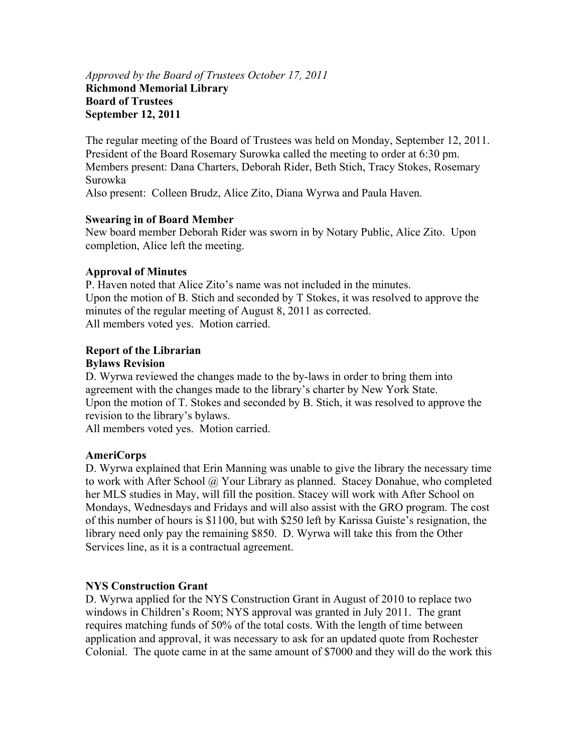## *Approved by the Board of Trustees October 17, 2011*  **Richmond Memorial Library Board of Trustees September 12, 2011**

The regular meeting of the Board of Trustees was held on Monday, September 12, 2011. President of the Board Rosemary Surowka called the meeting to order at 6:30 pm. Members present: Dana Charters, Deborah Rider, Beth Stich, Tracy Stokes, Rosemary Surowka

Also present: Colleen Brudz, Alice Zito, Diana Wyrwa and Paula Haven.

# **Swearing in of Board Member**

New board member Deborah Rider was sworn in by Notary Public, Alice Zito. Upon completion, Alice left the meeting.

# **Approval of Minutes**

P. Haven noted that Alice Zito's name was not included in the minutes. Upon the motion of B. Stich and seconded by T Stokes, it was resolved to approve the minutes of the regular meeting of August 8, 2011 as corrected. All members voted yes. Motion carried.

## **Report of the Librarian**

## **Bylaws Revision**

D. Wyrwa reviewed the changes made to the by-laws in order to bring them into agreement with the changes made to the library's charter by New York State. Upon the motion of T. Stokes and seconded by B. Stich, it was resolved to approve the revision to the library's bylaws.

All members voted yes. Motion carried.

# **AmeriCorps**

D. Wyrwa explained that Erin Manning was unable to give the library the necessary time to work with After School @ Your Library as planned. Stacey Donahue, who completed her MLS studies in May, will fill the position. Stacey will work with After School on Mondays, Wednesdays and Fridays and will also assist with the GRO program. The cost of this number of hours is \$1100, but with \$250 left by Karissa Guiste's resignation, the library need only pay the remaining \$850. D. Wyrwa will take this from the Other Services line, as it is a contractual agreement.

# **NYS Construction Grant**

D. Wyrwa applied for the NYS Construction Grant in August of 2010 to replace two windows in Children's Room; NYS approval was granted in July 2011. The grant requires matching funds of 50% of the total costs. With the length of time between application and approval, it was necessary to ask for an updated quote from Rochester Colonial. The quote came in at the same amount of \$7000 and they will do the work this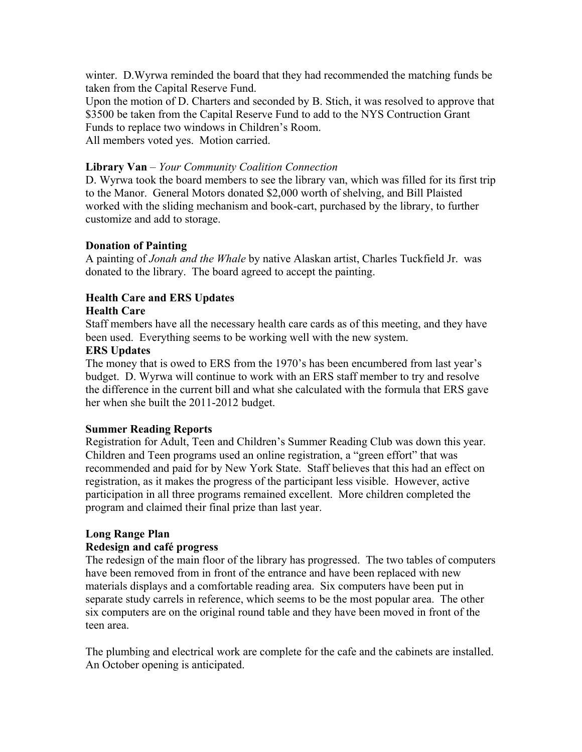winter. D.Wyrwa reminded the board that they had recommended the matching funds be taken from the Capital Reserve Fund.

Upon the motion of D. Charters and seconded by B. Stich, it was resolved to approve that \$3500 be taken from the Capital Reserve Fund to add to the NYS Contruction Grant Funds to replace two windows in Children's Room.

All members voted yes. Motion carried.

## **Library Van** – *Your Community Coalition Connection*

D. Wyrwa took the board members to see the library van, which was filled for its first trip to the Manor. General Motors donated \$2,000 worth of shelving, and Bill Plaisted worked with the sliding mechanism and book-cart, purchased by the library, to further customize and add to storage.

# **Donation of Painting**

A painting of *Jonah and the Whale* by native Alaskan artist, Charles Tuckfield Jr. was donated to the library. The board agreed to accept the painting.

# **Health Care and ERS Updates**

# **Health Care**

Staff members have all the necessary health care cards as of this meeting, and they have been used. Everything seems to be working well with the new system.

# **ERS Updates**

The money that is owed to ERS from the 1970's has been encumbered from last year's budget. D. Wyrwa will continue to work with an ERS staff member to try and resolve the difference in the current bill and what she calculated with the formula that ERS gave her when she built the 2011-2012 budget.

# **Summer Reading Reports**

Registration for Adult, Teen and Children's Summer Reading Club was down this year. Children and Teen programs used an online registration, a "green effort" that was recommended and paid for by New York State. Staff believes that this had an effect on registration, as it makes the progress of the participant less visible. However, active participation in all three programs remained excellent. More children completed the program and claimed their final prize than last year.

# **Long Range Plan**

# **Redesign and café progress**

The redesign of the main floor of the library has progressed. The two tables of computers have been removed from in front of the entrance and have been replaced with new materials displays and a comfortable reading area. Six computers have been put in separate study carrels in reference, which seems to be the most popular area. The other six computers are on the original round table and they have been moved in front of the teen area.

The plumbing and electrical work are complete for the cafe and the cabinets are installed. An October opening is anticipated.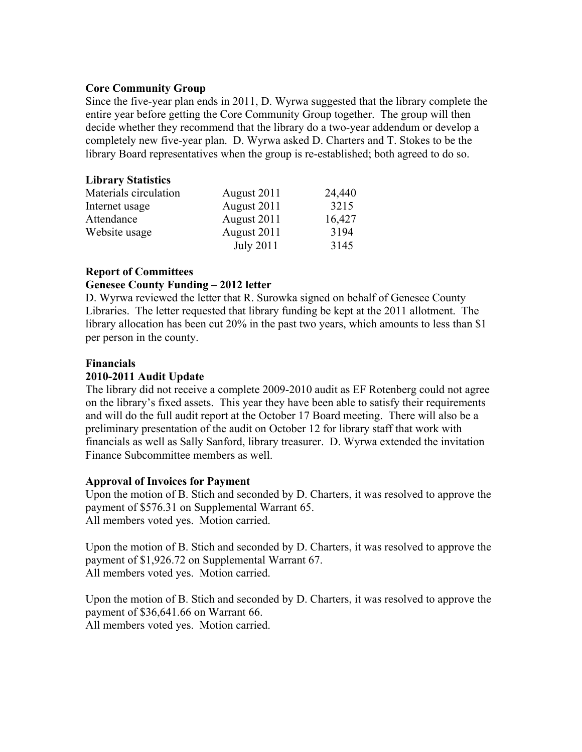#### **Core Community Group**

Since the five-year plan ends in 2011, D. Wyrwa suggested that the library complete the entire year before getting the Core Community Group together. The group will then decide whether they recommend that the library do a two-year addendum or develop a completely new five-year plan. D. Wyrwa asked D. Charters and T. Stokes to be the library Board representatives when the group is re-established; both agreed to do so.

#### **Library Statistics**

| Materials circulation | August 2011 | 24,440 |
|-----------------------|-------------|--------|
| Internet usage        | August 2011 | 3215   |
| Attendance            | August 2011 | 16,427 |
| Website usage         | August 2011 | 3194   |
|                       | July 2011   | 3145   |

## **Report of Committees Genesee County Funding – 2012 letter**

D. Wyrwa reviewed the letter that R. Surowka signed on behalf of Genesee County Libraries. The letter requested that library funding be kept at the 2011 allotment. The library allocation has been cut 20% in the past two years, which amounts to less than \$1 per person in the county.

#### **Financials**

#### **2010-2011 Audit Update**

The library did not receive a complete 2009-2010 audit as EF Rotenberg could not agree on the library's fixed assets. This year they have been able to satisfy their requirements and will do the full audit report at the October 17 Board meeting. There will also be a preliminary presentation of the audit on October 12 for library staff that work with financials as well as Sally Sanford, library treasurer. D. Wyrwa extended the invitation Finance Subcommittee members as well.

#### **Approval of Invoices for Payment**

Upon the motion of B. Stich and seconded by D. Charters, it was resolved to approve the payment of \$576.31 on Supplemental Warrant 65. All members voted yes. Motion carried.

Upon the motion of B. Stich and seconded by D. Charters, it was resolved to approve the payment of \$1,926.72 on Supplemental Warrant 67. All members voted yes. Motion carried.

Upon the motion of B. Stich and seconded by D. Charters, it was resolved to approve the payment of \$36,641.66 on Warrant 66. All members voted yes. Motion carried.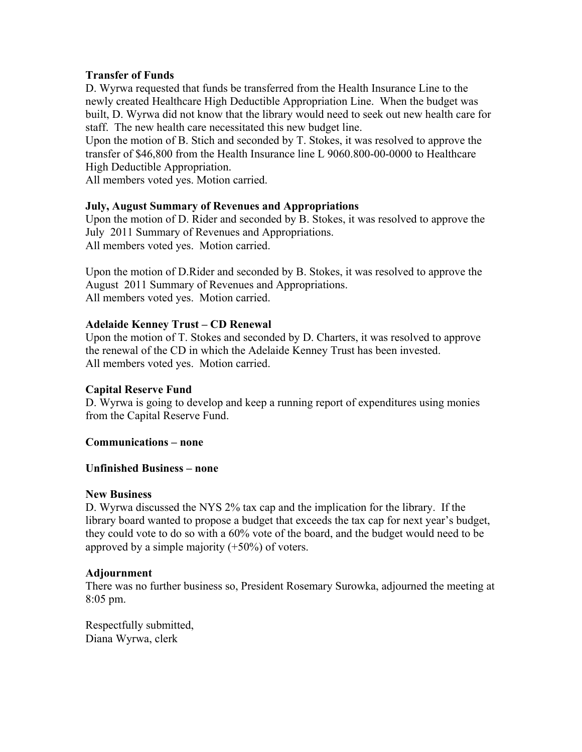## **Transfer of Funds**

D. Wyrwa requested that funds be transferred from the Health Insurance Line to the newly created Healthcare High Deductible Appropriation Line. When the budget was built, D. Wyrwa did not know that the library would need to seek out new health care for staff. The new health care necessitated this new budget line.

Upon the motion of B. Stich and seconded by T. Stokes, it was resolved to approve the transfer of \$46,800 from the Health Insurance line L 9060.800-00-0000 to Healthcare High Deductible Appropriation.

All members voted yes. Motion carried.

## **July, August Summary of Revenues and Appropriations**

Upon the motion of D. Rider and seconded by B. Stokes, it was resolved to approve the July 2011 Summary of Revenues and Appropriations. All members voted yes. Motion carried.

Upon the motion of D.Rider and seconded by B. Stokes, it was resolved to approve the August 2011 Summary of Revenues and Appropriations. All members voted yes. Motion carried.

## **Adelaide Kenney Trust – CD Renewal**

Upon the motion of T. Stokes and seconded by D. Charters, it was resolved to approve the renewal of the CD in which the Adelaide Kenney Trust has been invested. All members voted yes. Motion carried.

# **Capital Reserve Fund**

D. Wyrwa is going to develop and keep a running report of expenditures using monies from the Capital Reserve Fund.

**Communications – none** 

#### **Unfinished Business – none**

#### **New Business**

D. Wyrwa discussed the NYS 2% tax cap and the implication for the library. If the library board wanted to propose a budget that exceeds the tax cap for next year's budget, they could vote to do so with a 60% vote of the board, and the budget would need to be approved by a simple majority (+50%) of voters.

#### **Adjournment**

There was no further business so, President Rosemary Surowka, adjourned the meeting at 8:05 pm.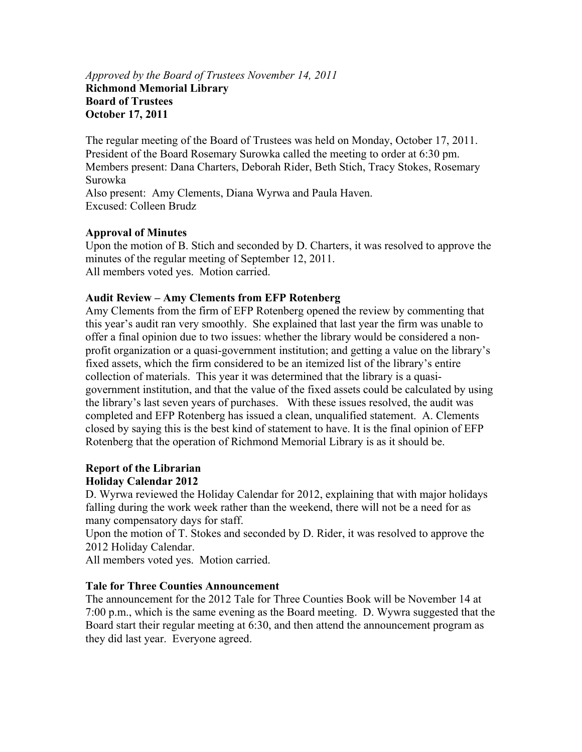## *Approved by the Board of Trustees November 14, 2011*  **Richmond Memorial Library Board of Trustees October 17, 2011**

The regular meeting of the Board of Trustees was held on Monday, October 17, 2011. President of the Board Rosemary Surowka called the meeting to order at 6:30 pm. Members present: Dana Charters, Deborah Rider, Beth Stich, Tracy Stokes, Rosemary Surowka Also present: Amy Clements, Diana Wyrwa and Paula Haven. Excused: Colleen Brudz

# **Approval of Minutes**

Upon the motion of B. Stich and seconded by D. Charters, it was resolved to approve the minutes of the regular meeting of September 12, 2011. All members voted yes. Motion carried.

# **Audit Review – Amy Clements from EFP Rotenberg**

Amy Clements from the firm of EFP Rotenberg opened the review by commenting that this year's audit ran very smoothly. She explained that last year the firm was unable to offer a final opinion due to two issues: whether the library would be considered a nonprofit organization or a quasi-government institution; and getting a value on the library's fixed assets, which the firm considered to be an itemized list of the library's entire collection of materials. This year it was determined that the library is a quasigovernment institution, and that the value of the fixed assets could be calculated by using the library's last seven years of purchases. With these issues resolved, the audit was completed and EFP Rotenberg has issued a clean, unqualified statement. A. Clements closed by saying this is the best kind of statement to have. It is the final opinion of EFP Rotenberg that the operation of Richmond Memorial Library is as it should be.

## **Report of the Librarian Holiday Calendar 2012**

D. Wyrwa reviewed the Holiday Calendar for 2012, explaining that with major holidays falling during the work week rather than the weekend, there will not be a need for as many compensatory days for staff.

Upon the motion of T. Stokes and seconded by D. Rider, it was resolved to approve the 2012 Holiday Calendar.

All members voted yes. Motion carried.

# **Tale for Three Counties Announcement**

The announcement for the 2012 Tale for Three Counties Book will be November 14 at 7:00 p.m., which is the same evening as the Board meeting. D. Wywra suggested that the Board start their regular meeting at 6:30, and then attend the announcement program as they did last year. Everyone agreed.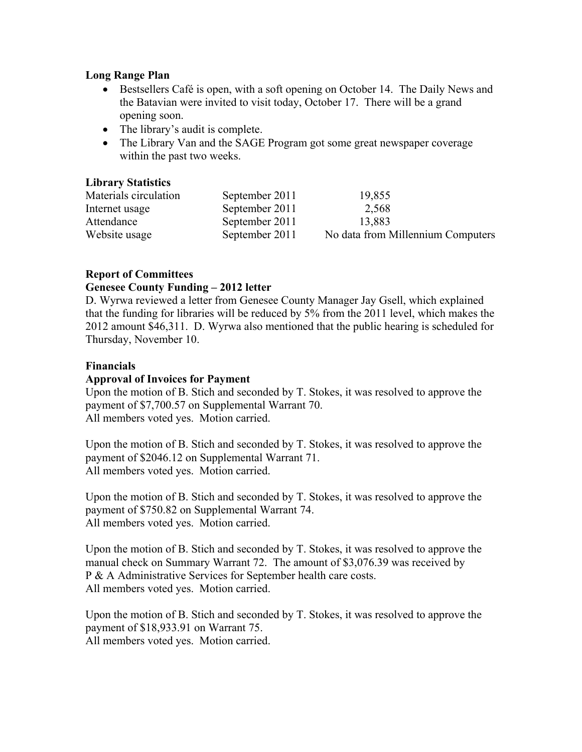## **Long Range Plan**

- Bestsellers Café is open, with a soft opening on October 14. The Daily News and the Batavian were invited to visit today, October 17. There will be a grand opening soon.
- The library's audit is complete.
- The Library Van and the SAGE Program got some great newspaper coverage within the past two weeks.

## **Library Statistics**

| Materials circulation | September 2011 | 19,855                            |
|-----------------------|----------------|-----------------------------------|
| Internet usage        | September 2011 | 2,568                             |
| Attendance            | September 2011 | 13,883                            |
| Website usage         | September 2011 | No data from Millennium Computers |

# **Report of Committees**

## **Genesee County Funding – 2012 letter**

D. Wyrwa reviewed a letter from Genesee County Manager Jay Gsell, which explained that the funding for libraries will be reduced by 5% from the 2011 level, which makes the 2012 amount \$46,311. D. Wyrwa also mentioned that the public hearing is scheduled for Thursday, November 10.

#### **Financials**

## **Approval of Invoices for Payment**

Upon the motion of B. Stich and seconded by T. Stokes, it was resolved to approve the payment of \$7,700.57 on Supplemental Warrant 70. All members voted yes. Motion carried.

Upon the motion of B. Stich and seconded by T. Stokes, it was resolved to approve the payment of \$2046.12 on Supplemental Warrant 71. All members voted yes. Motion carried.

Upon the motion of B. Stich and seconded by T. Stokes, it was resolved to approve the payment of \$750.82 on Supplemental Warrant 74. All members voted yes. Motion carried.

Upon the motion of B. Stich and seconded by T. Stokes, it was resolved to approve the manual check on Summary Warrant 72. The amount of \$3,076.39 was received by P & A Administrative Services for September health care costs. All members voted yes. Motion carried.

Upon the motion of B. Stich and seconded by T. Stokes, it was resolved to approve the payment of \$18,933.91 on Warrant 75. All members voted yes. Motion carried.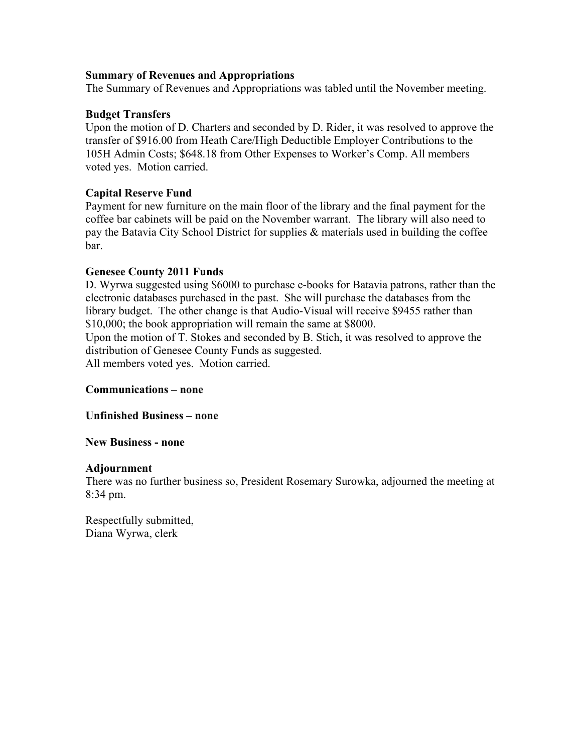#### **Summary of Revenues and Appropriations**

The Summary of Revenues and Appropriations was tabled until the November meeting.

## **Budget Transfers**

Upon the motion of D. Charters and seconded by D. Rider, it was resolved to approve the transfer of \$916.00 from Heath Care/High Deductible Employer Contributions to the 105H Admin Costs; \$648.18 from Other Expenses to Worker's Comp. All members voted yes. Motion carried.

# **Capital Reserve Fund**

Payment for new furniture on the main floor of the library and the final payment for the coffee bar cabinets will be paid on the November warrant. The library will also need to pay the Batavia City School District for supplies & materials used in building the coffee bar.

## **Genesee County 2011 Funds**

D. Wyrwa suggested using \$6000 to purchase e-books for Batavia patrons, rather than the electronic databases purchased in the past. She will purchase the databases from the library budget. The other change is that Audio-Visual will receive \$9455 rather than \$10,000; the book appropriation will remain the same at \$8000.

Upon the motion of T. Stokes and seconded by B. Stich, it was resolved to approve the distribution of Genesee County Funds as suggested.

All members voted yes. Motion carried.

#### **Communications – none**

**Unfinished Business – none** 

#### **New Business - none**

#### **Adjournment**

There was no further business so, President Rosemary Surowka, adjourned the meeting at 8:34 pm.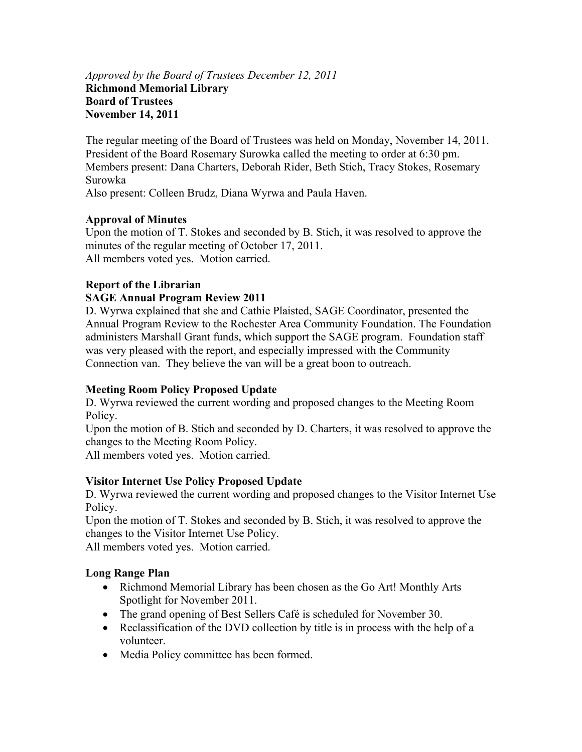## *Approved by the Board of Trustees December 12, 2011*  **Richmond Memorial Library Board of Trustees November 14, 2011**

The regular meeting of the Board of Trustees was held on Monday, November 14, 2011. President of the Board Rosemary Surowka called the meeting to order at 6:30 pm. Members present: Dana Charters, Deborah Rider, Beth Stich, Tracy Stokes, Rosemary Surowka

Also present: Colleen Brudz, Diana Wyrwa and Paula Haven.

# **Approval of Minutes**

Upon the motion of T. Stokes and seconded by B. Stich, it was resolved to approve the minutes of the regular meeting of October 17, 2011. All members voted yes. Motion carried.

# **Report of the Librarian**

# **SAGE Annual Program Review 2011**

D. Wyrwa explained that she and Cathie Plaisted, SAGE Coordinator, presented the Annual Program Review to the Rochester Area Community Foundation. The Foundation administers Marshall Grant funds, which support the SAGE program. Foundation staff was very pleased with the report, and especially impressed with the Community Connection van. They believe the van will be a great boon to outreach.

# **Meeting Room Policy Proposed Update**

D. Wyrwa reviewed the current wording and proposed changes to the Meeting Room Policy.

Upon the motion of B. Stich and seconded by D. Charters, it was resolved to approve the changes to the Meeting Room Policy.

All members voted yes. Motion carried.

# **Visitor Internet Use Policy Proposed Update**

D. Wyrwa reviewed the current wording and proposed changes to the Visitor Internet Use Policy.

Upon the motion of T. Stokes and seconded by B. Stich, it was resolved to approve the changes to the Visitor Internet Use Policy.

All members voted yes. Motion carried.

# **Long Range Plan**

- Richmond Memorial Library has been chosen as the Go Art! Monthly Arts Spotlight for November 2011.
- The grand opening of Best Sellers Café is scheduled for November 30.
- Reclassification of the DVD collection by title is in process with the help of a volunteer.
- Media Policy committee has been formed.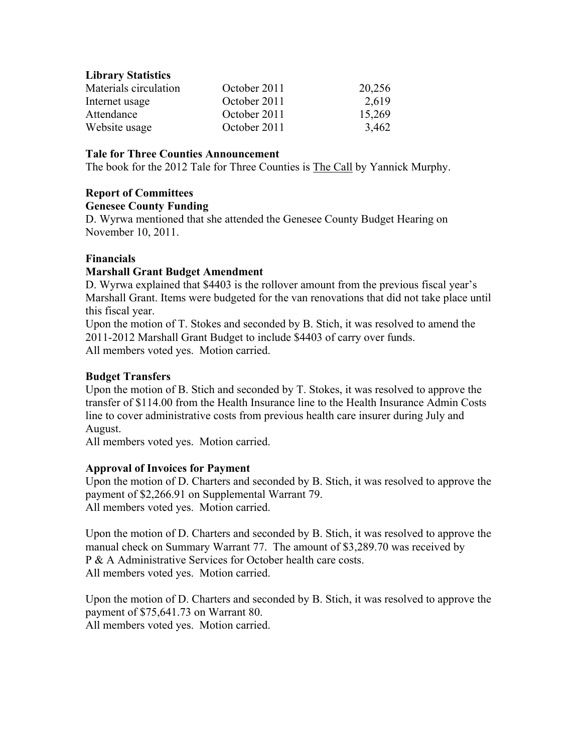## **Library Statistics**

| Materials circulation | October 2011 | 20,256 |
|-----------------------|--------------|--------|
| Internet usage        | October 2011 | 2,619  |
| Attendance            | October 2011 | 15,269 |
| Website usage         | October 2011 | 3,462  |

## **Tale for Three Counties Announcement**

The book for the 2012 Tale for Three Counties is The Call by Yannick Murphy.

## **Report of Committees**

#### **Genesee County Funding**

D. Wyrwa mentioned that she attended the Genesee County Budget Hearing on November 10, 2011.

## **Financials**

## **Marshall Grant Budget Amendment**

D. Wyrwa explained that \$4403 is the rollover amount from the previous fiscal year's Marshall Grant. Items were budgeted for the van renovations that did not take place until this fiscal year.

Upon the motion of T. Stokes and seconded by B. Stich, it was resolved to amend the 2011-2012 Marshall Grant Budget to include \$4403 of carry over funds. All members voted yes. Motion carried.

## **Budget Transfers**

Upon the motion of B. Stich and seconded by T. Stokes, it was resolved to approve the transfer of \$114.00 from the Health Insurance line to the Health Insurance Admin Costs line to cover administrative costs from previous health care insurer during July and August.

All members voted yes. Motion carried.

#### **Approval of Invoices for Payment**

Upon the motion of D. Charters and seconded by B. Stich, it was resolved to approve the payment of \$2,266.91 on Supplemental Warrant 79. All members voted yes. Motion carried.

Upon the motion of D. Charters and seconded by B. Stich, it was resolved to approve the manual check on Summary Warrant 77. The amount of \$3,289.70 was received by P & A Administrative Services for October health care costs. All members voted yes. Motion carried.

Upon the motion of D. Charters and seconded by B. Stich, it was resolved to approve the payment of \$75,641.73 on Warrant 80. All members voted yes. Motion carried.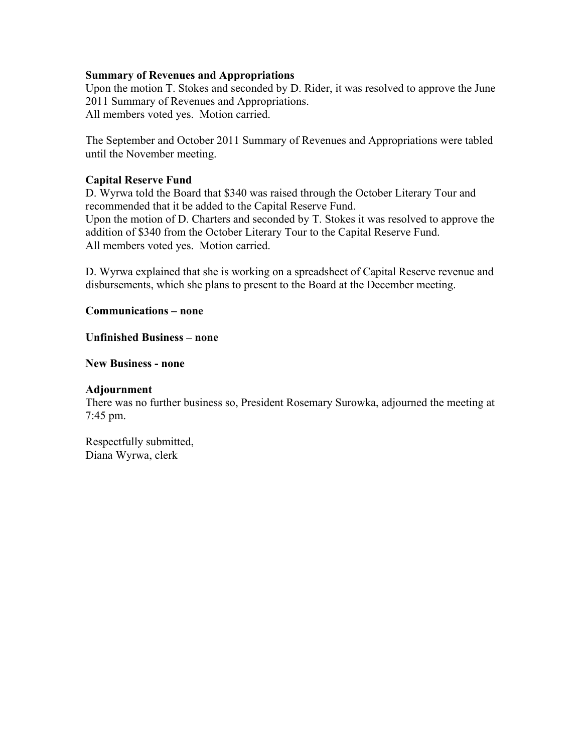#### **Summary of Revenues and Appropriations**

Upon the motion T. Stokes and seconded by D. Rider, it was resolved to approve the June 2011 Summary of Revenues and Appropriations. All members voted yes. Motion carried.

The September and October 2011 Summary of Revenues and Appropriations were tabled until the November meeting.

#### **Capital Reserve Fund**

D. Wyrwa told the Board that \$340 was raised through the October Literary Tour and recommended that it be added to the Capital Reserve Fund. Upon the motion of D. Charters and seconded by T. Stokes it was resolved to approve the addition of \$340 from the October Literary Tour to the Capital Reserve Fund.

All members voted yes. Motion carried.

D. Wyrwa explained that she is working on a spreadsheet of Capital Reserve revenue and disbursements, which she plans to present to the Board at the December meeting.

**Communications – none** 

#### **Unfinished Business – none**

**New Business - none** 

#### **Adjournment**

There was no further business so, President Rosemary Surowka, adjourned the meeting at 7:45 pm.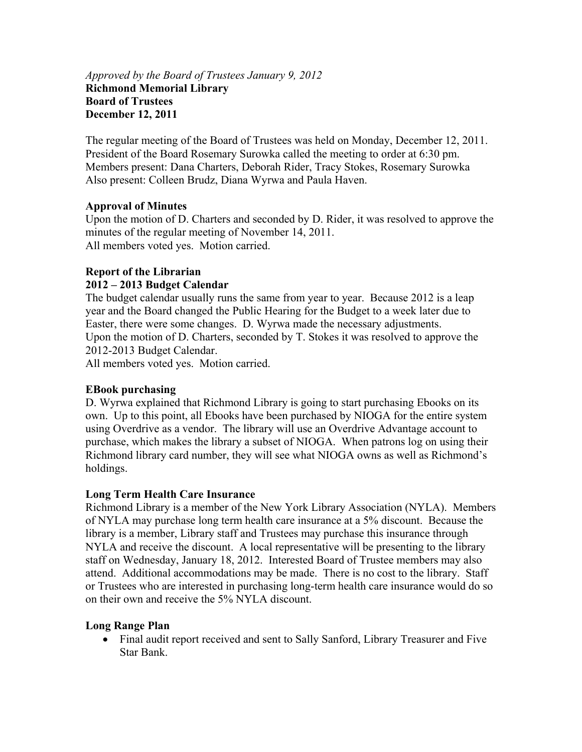## *Approved by the Board of Trustees January 9, 2012*  **Richmond Memorial Library Board of Trustees December 12, 2011**

The regular meeting of the Board of Trustees was held on Monday, December 12, 2011. President of the Board Rosemary Surowka called the meeting to order at 6:30 pm. Members present: Dana Charters, Deborah Rider, Tracy Stokes, Rosemary Surowka Also present: Colleen Brudz, Diana Wyrwa and Paula Haven.

# **Approval of Minutes**

Upon the motion of D. Charters and seconded by D. Rider, it was resolved to approve the minutes of the regular meeting of November 14, 2011. All members voted yes. Motion carried.

# **Report of the Librarian**

## **2012 – 2013 Budget Calendar**

The budget calendar usually runs the same from year to year. Because 2012 is a leap year and the Board changed the Public Hearing for the Budget to a week later due to Easter, there were some changes. D. Wyrwa made the necessary adjustments. Upon the motion of D. Charters, seconded by T. Stokes it was resolved to approve the 2012-2013 Budget Calendar.

All members voted yes. Motion carried.

# **EBook purchasing**

D. Wyrwa explained that Richmond Library is going to start purchasing Ebooks on its own. Up to this point, all Ebooks have been purchased by NIOGA for the entire system using Overdrive as a vendor. The library will use an Overdrive Advantage account to purchase, which makes the library a subset of NIOGA. When patrons log on using their Richmond library card number, they will see what NIOGA owns as well as Richmond's holdings.

#### **Long Term Health Care Insurance**

Richmond Library is a member of the New York Library Association (NYLA). Members of NYLA may purchase long term health care insurance at a 5% discount. Because the library is a member, Library staff and Trustees may purchase this insurance through NYLA and receive the discount. A local representative will be presenting to the library staff on Wednesday, January 18, 2012. Interested Board of Trustee members may also attend. Additional accommodations may be made. There is no cost to the library. Staff or Trustees who are interested in purchasing long-term health care insurance would do so on their own and receive the 5% NYLA discount.

#### **Long Range Plan**

 Final audit report received and sent to Sally Sanford, Library Treasurer and Five Star Bank.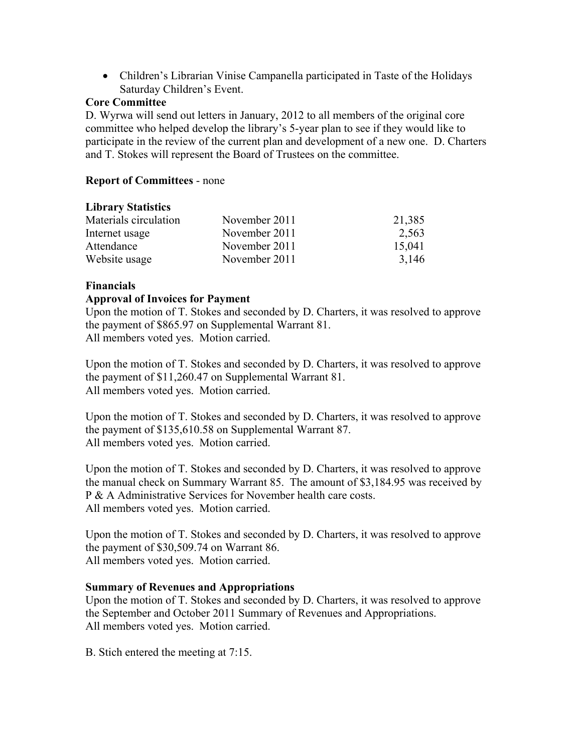Children's Librarian Vinise Campanella participated in Taste of the Holidays Saturday Children's Event.

## **Core Committee**

D. Wyrwa will send out letters in January, 2012 to all members of the original core committee who helped develop the library's 5-year plan to see if they would like to participate in the review of the current plan and development of a new one. D. Charters and T. Stokes will represent the Board of Trustees on the committee.

## **Report of Committees** - none

# **Library Statistics**

| Materials circulation | November 2011 | 21,385 |
|-----------------------|---------------|--------|
| Internet usage        | November 2011 | 2,563  |
| Attendance            | November 2011 | 15,041 |
| Website usage         | November 2011 | 3,146  |

## **Financials**

## **Approval of Invoices for Payment**

Upon the motion of T. Stokes and seconded by D. Charters, it was resolved to approve the payment of \$865.97 on Supplemental Warrant 81. All members voted yes. Motion carried.

Upon the motion of T. Stokes and seconded by D. Charters, it was resolved to approve the payment of \$11,260.47 on Supplemental Warrant 81. All members voted yes. Motion carried.

Upon the motion of T. Stokes and seconded by D. Charters, it was resolved to approve the payment of \$135,610.58 on Supplemental Warrant 87. All members voted yes. Motion carried.

Upon the motion of T. Stokes and seconded by D. Charters, it was resolved to approve the manual check on Summary Warrant 85. The amount of \$3,184.95 was received by P & A Administrative Services for November health care costs. All members voted yes. Motion carried.

Upon the motion of T. Stokes and seconded by D. Charters, it was resolved to approve the payment of \$30,509.74 on Warrant 86. All members voted yes. Motion carried.

#### **Summary of Revenues and Appropriations**

Upon the motion of T. Stokes and seconded by D. Charters, it was resolved to approve the September and October 2011 Summary of Revenues and Appropriations. All members voted yes. Motion carried.

B. Stich entered the meeting at 7:15.